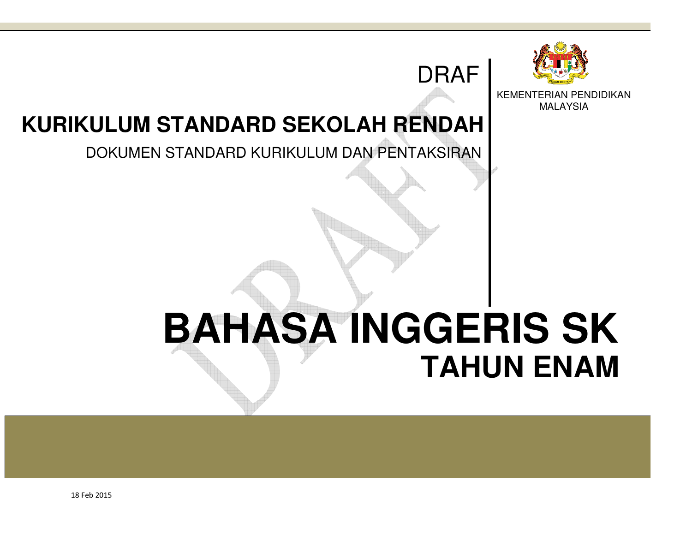

KEMENTERIAN PENDIDIKAN MALAYSIA

## **KURIKULUM STANDARD SEKOLAH RENDAH**

## DOKUMEN STANDARD KURIKULUM DAN PENTAKSIRAN

# **BAHASA INGGERIS SKTAHUN ENAM AHUN**

DRAF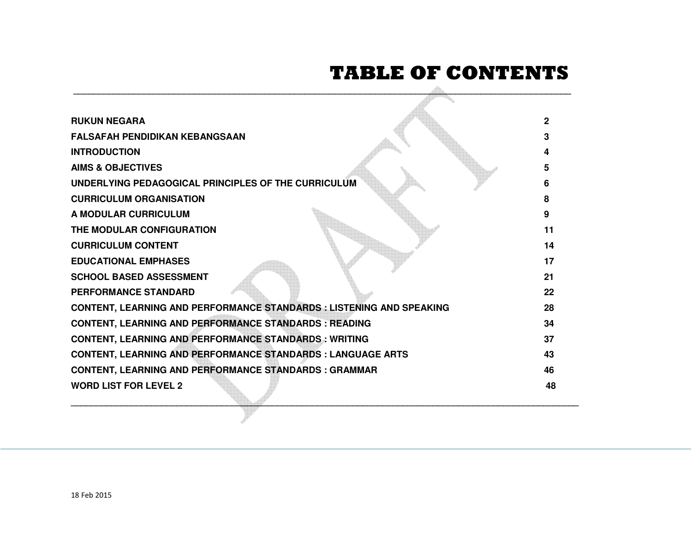# **TABLE OF CONTENTS**

| <b>RUKUN NEGARA</b>                                                         | $\overline{2}$ |
|-----------------------------------------------------------------------------|----------------|
| <b>FALSAFAH PENDIDIKAN KEBANGSAAN</b>                                       |                |
| <b>INTRODUCTION</b>                                                         |                |
| <b>AIMS &amp; OBJECTIVES</b>                                                | 5              |
| UNDERLYING PEDAGOGICAL PRINCIPLES OF THE CURRICULUM                         | 6              |
| <b>CURRICULUM ORGANISATION</b>                                              | 8              |
| A MODULAR CURRICULUM                                                        | 9              |
| THE MODULAR CONFIGURATION                                                   | 11             |
| <b>CURRICULUM CONTENT</b>                                                   | 14             |
| <b>EDUCATIONAL EMPHASES</b>                                                 | 17             |
| <b>SCHOOL BASED ASSESSMENT</b>                                              | 21             |
| <b>PERFORMANCE STANDARD</b>                                                 | 22             |
| <b>CONTENT, LEARNING AND PERFORMANCE STANDARDS : LISTENING AND SPEAKING</b> | 28             |
| <b>CONTENT, LEARNING AND PERFORMANCE STANDARDS : READING</b>                | 34             |
| <b>CONTENT, LEARNING AND PERFORMANCE STANDARDS: WRITING</b>                 | 37             |
| <b>CONTENT, LEARNING AND PERFORMANCE STANDARDS : LANGUAGE ARTS</b>          | 43             |
| <b>CONTENT, LEARNING AND PERFORMANCE STANDARDS : GRAMMAR</b>                | 46             |
| <b>WORD LIST FOR LEVEL 2</b>                                                | 48             |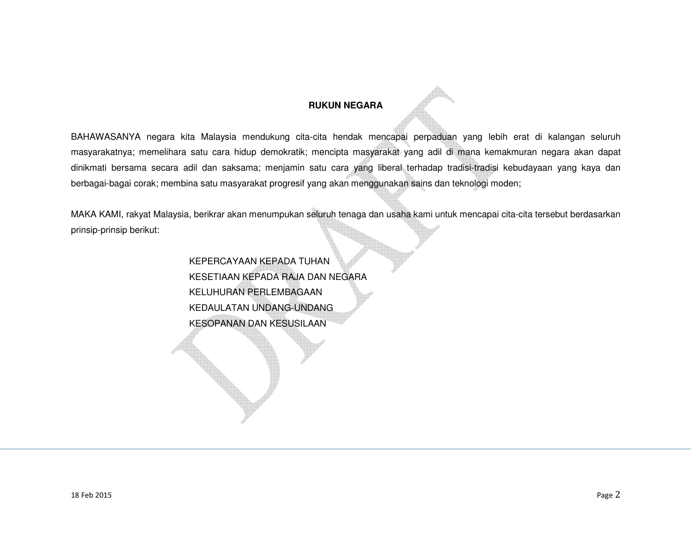## **RUKUN NEGARA**

BAHAWASANYA negara kita Malaysia mendukung cita-cita hendak mencapai perpaduan yang lebih erat di kalangan seluruh masyarakatnya; memelihara satu cara hidup demokratik; mencipta masyarakat yang adil di mana kemakmuran negara akan dapat dinikmati bersama secara adil dan saksama; menjamin satu cara yang liberal terhadap tradisi-tradisi kebudayaan yang kaya dan berbagai-bagai corak; membina satu masyarakat progresif yang akan menggunakan sains dan teknologi moden;

MAKA KAMI, rakyat Malaysia, berikrar akan menumpukan seluruh tenaga dan usaha kami untuk mencapai cita-cita tersebut berdasarkan prinsip-prinsip berikut:

> KEPERCAYAAN KEPADA TUHAN KESETIAAN KEPADA RAJA DAN NEGARA KELUHURAN PERLEMBAGAAN KEDAULATAN UNDANG-UNDANG KESOPANAN DAN KESUSILAAN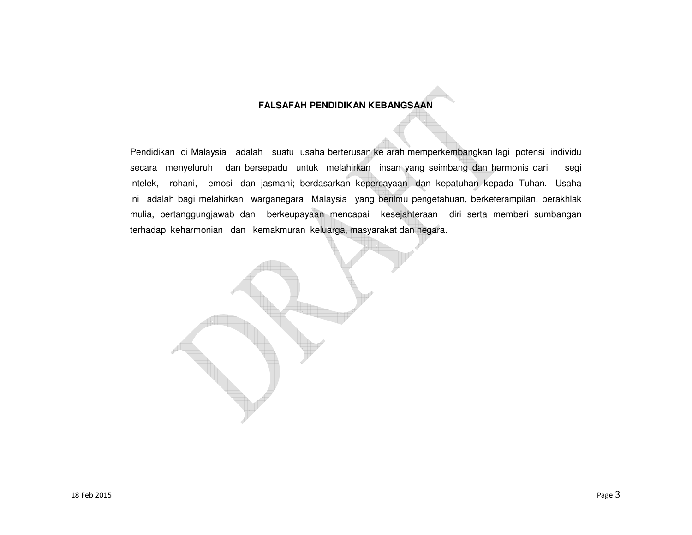## **FALSAFAH PENDIDIKAN KEBANGSAAN**

Pendidikan di Malaysia adalah suatu usaha berterusan ke arah memperkembangkan lagi potensi individu secara menyeluruh dan bersepadu untuk melahirkan insan yang seimbang dan harmonis dari segi intelek, rohani, emosi dan jasmani; berdasarkan kepercayaan dan kepatuhan kepada Tuhan. Usaha ini adalah bagi melahirkan warganegara Malaysia yang berilmu pengetahuan, berketerampilan, berakhlak mulia, bertanggungjawab dan berkeupayaan mencapai kesejahteraan diri serta memberi sumbangan terhadap keharmonian dan kemakmuran keluarga, masyarakat dan negara.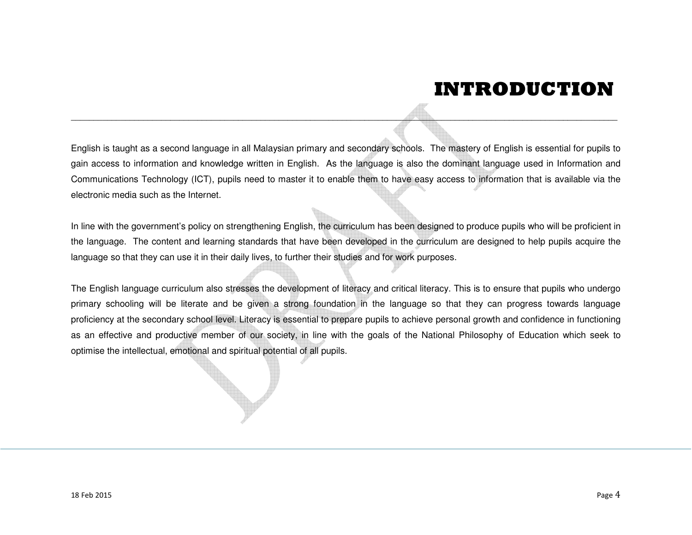## **INTRODUCTION**

English is tuught as a second language in all Malaysian primary and secondary schools. The mastery of English is essential for pupils to<br>gain access to information and knowledge written in English. As the language is about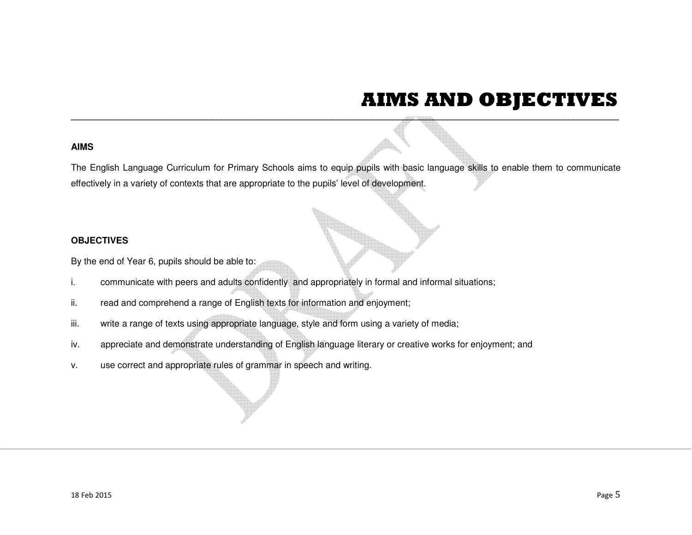## **AIMS AND OBJECTIVES**

AIMS<br>The English Language Curriculum for Primary Schools aims to equip publis with basic language skills to enable them to communicate<br>The English Language Curriculum for Primary Schools aims to equip publis viewel of deve

- 
- 
- 
- 
-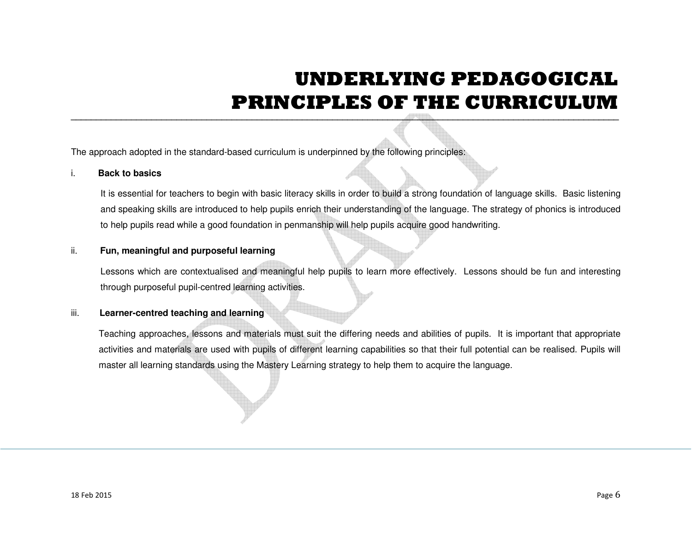## **UNDERLYING PEDAGOGICALPRINCIPLES OF THE CURRICULUM**

The approach adopted in the standard-based curriculum is underpinned by the following principles:<br> **Example 18 associated** to teachers to begin with basic literacy skills in order to build a strong foundation of language s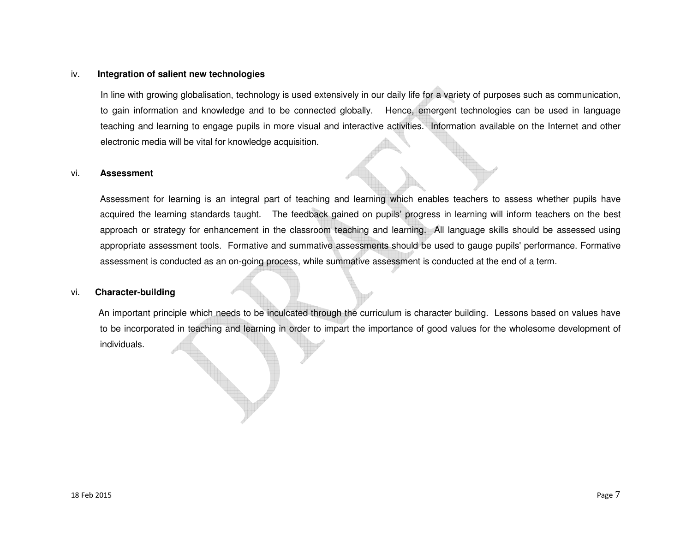### iv. **Integration of salient new technologies**

In line with growing globalisation, technology is used extensively in our daily life for a variety of purposes such as communication, to gain information and knowledge and to be connected globally. Hence, emergent technologies can be used in language teaching and learning to engage pupils in more visual and interactive activities. Information available on the Internet and other electronic media will be vital for knowledge acquisition.

### vi. **Assessment**

 Assessment for learning is an integral part of teaching and learning which enables teachers to assess whether pupils have acquired the learning standards taught. The feedback gained on pupils' progress in learning will inform teachers on the best approach or strategy for enhancement in the classroom teaching and learning. All language skills should be assessed using appropriate assessment tools. Formative and summative assessments should be used to gauge pupils' performance. Formative assessment is conducted as an on-going process, while summative assessment is conducted at the end of a term.

### vi. **Character-building**

 An important principle which needs to be inculcated through the curriculum is character building. Lessons based on values have to be incorporated in teaching and learning in order to impart the importance of good values for the wholesome development of individuals.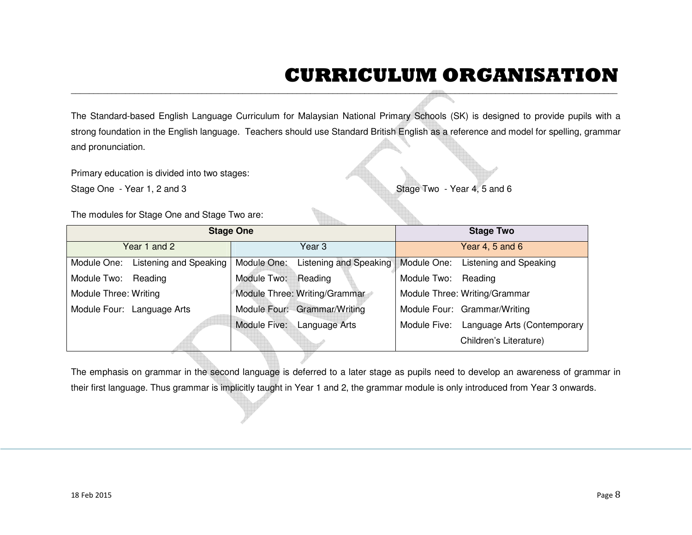## **CURRICULUM ORGANISATION**

| The Standard-based English Language Curriculum for Malaysian National Primary Schools (SK) is designed to provide pupils with a |                                              |                                                                                                                                        |        |  |  |
|---------------------------------------------------------------------------------------------------------------------------------|----------------------------------------------|----------------------------------------------------------------------------------------------------------------------------------------|--------|--|--|
|                                                                                                                                 |                                              | strong foundation in the English language. Teachers should use Standard British English as a reference and model for spelling, grammar |        |  |  |
| and pronunciation.                                                                                                              |                                              |                                                                                                                                        |        |  |  |
|                                                                                                                                 |                                              |                                                                                                                                        |        |  |  |
| Primary education is divided into two stages:                                                                                   |                                              |                                                                                                                                        |        |  |  |
| Stage One - Year 1, 2 and 3                                                                                                     |                                              | Stage Two - Year 4, 5 and 6                                                                                                            |        |  |  |
|                                                                                                                                 |                                              |                                                                                                                                        |        |  |  |
| The modules for Stage One and Stage Two are:                                                                                    |                                              |                                                                                                                                        |        |  |  |
|                                                                                                                                 | <b>Stage One</b>                             | <b>Stage Two</b>                                                                                                                       |        |  |  |
| Year 1 and 2                                                                                                                    | Year <sub>3</sub>                            | Year 4, 5 and 6                                                                                                                        |        |  |  |
| <b>Listening and Speaking</b><br>Module One:                                                                                    | <b>Listening and Speaking</b><br>Module One: | Module One:<br><b>Listening and Speaking</b>                                                                                           |        |  |  |
| Module Two: Reading                                                                                                             | Module Two:<br>Reading                       | Module Two:<br>Reading                                                                                                                 |        |  |  |
| Module Three: Writing                                                                                                           | Module Three: Writing/Grammar                | Module Three: Writing/Grammar                                                                                                          |        |  |  |
| Module Four: Language Arts                                                                                                      | Module Four: Grammar/Writing                 | Module Four: Grammar/Writing                                                                                                           |        |  |  |
|                                                                                                                                 | Module Five: Language Arts                   | Module Five:<br>Language Arts (Contemporary                                                                                            |        |  |  |
|                                                                                                                                 |                                              | Children's Literature)                                                                                                                 |        |  |  |
|                                                                                                                                 |                                              |                                                                                                                                        |        |  |  |
|                                                                                                                                 |                                              | The emphasis on grammar in the second language is deferred to a later stage as pupils need to develop an awareness of grammar in       |        |  |  |
|                                                                                                                                 |                                              | their first language. Thus grammar is implicitly taught in Year 1 and 2, the grammar module is only introduced from Year 3 onwards.    |        |  |  |
|                                                                                                                                 |                                              |                                                                                                                                        |        |  |  |
|                                                                                                                                 |                                              |                                                                                                                                        |        |  |  |
|                                                                                                                                 |                                              |                                                                                                                                        |        |  |  |
|                                                                                                                                 |                                              |                                                                                                                                        |        |  |  |
|                                                                                                                                 |                                              |                                                                                                                                        |        |  |  |
|                                                                                                                                 |                                              |                                                                                                                                        |        |  |  |
| 18 Feb 2015                                                                                                                     |                                              |                                                                                                                                        | Page 8 |  |  |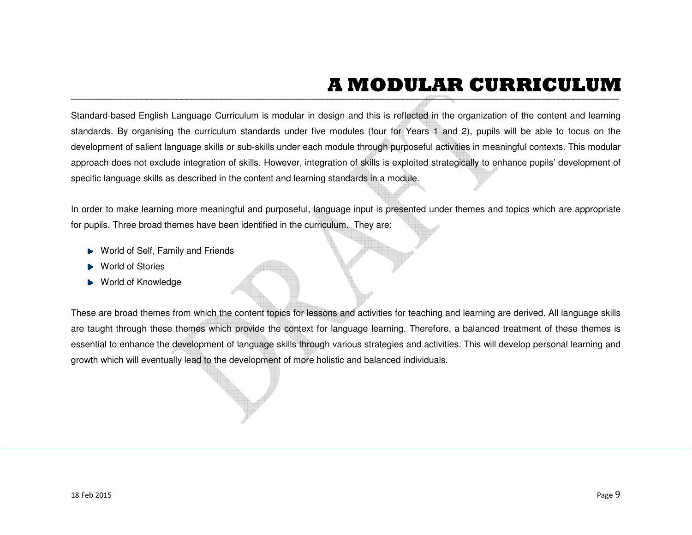# **A MODULAR CURRICULUM**

Standard based English Language Curriculum is modular in design and this is reflected in the organization of the content and learning<br>standards. By organising the curriculum standards under five modules (four for Years 1 a

- 
- 
-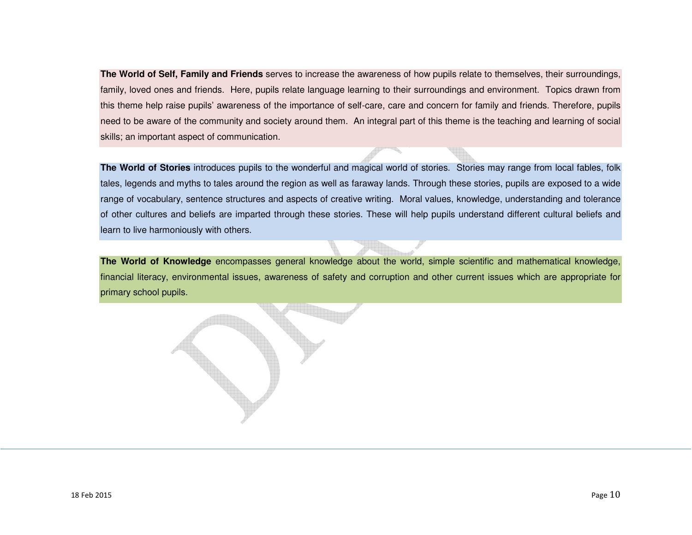**The World of Self, Family and Friends** serves to increase the awareness of how pupils relate to themselves, their surroundings, family, loved ones and friends. Here, pupils relate language learning to their surroundings and environment. Topics drawn from this theme help raise pupils' awareness of the importance of self-care, care and concern for family and friends. Therefore, pupils need to be aware of the community and society around them. An integral part of this theme is the teaching and learning of social skills; an important aspect of communication.

**The World of Stories** introduces pupils to the wonderful and magical world of stories. Stories may range from local fables, folk tales, legends and myths to tales around the region as well as faraway lands. Through these stories, pupils are exposed to a wide range of vocabulary, sentence structures and aspects of creative writing. Moral values, knowledge, understanding and tolerance of other cultures and beliefs are imparted through these stories. These will help pupils understand different cultural beliefs and learn to live harmoniously with others.

**The World of Knowledge** encompasses general knowledge about the world, simple scientific and mathematical knowledge, financial literacy, environmental issues, awareness of safety and corruption and other current issues which are appropriate for primary school pupils.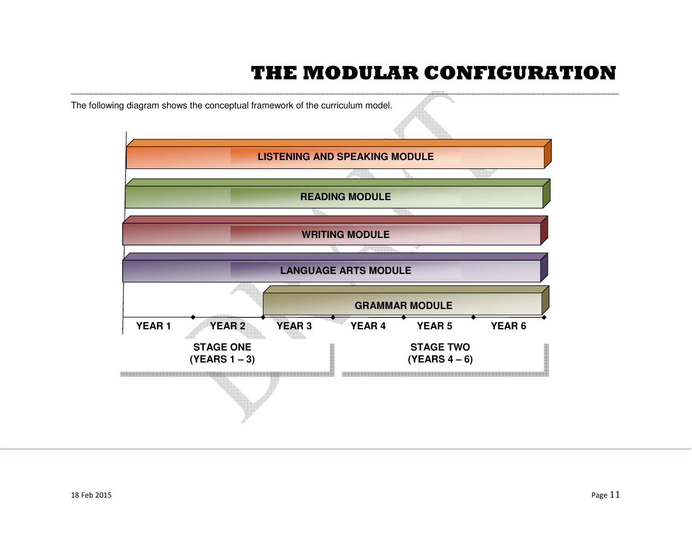## **THE MODULAR CONFIGURATION**

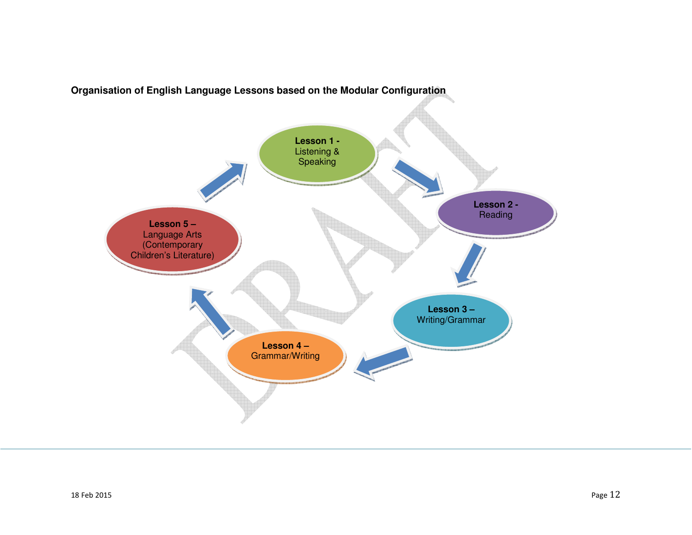

**Organisation of English Language Lessons based on the Modular Configuration**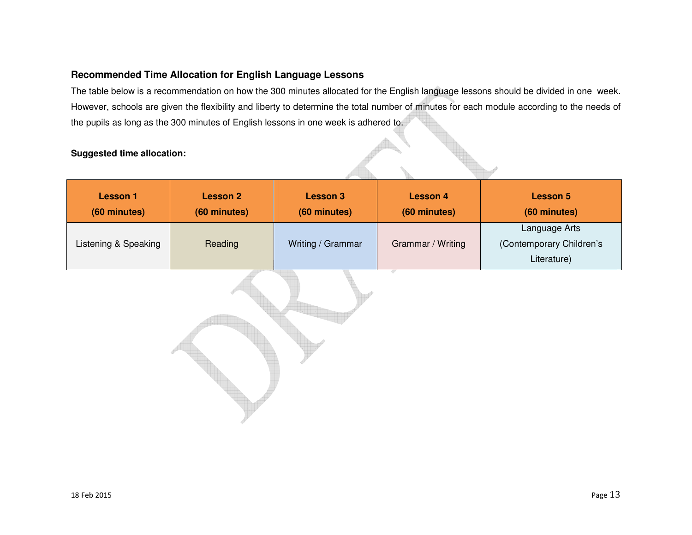## **Recommended Time Allocation for English Language Lessons**

The table below is a recommendation on how the 300 minutes allocated for the English language lessons should be divided in one week. However, schools are given the flexibility and liberty to determine the total number of minutes for each module according to the needs of the pupils as long as the 300 minutes of English lessons in one week is adhered to.

## **Suggested time allocation:**

| <b>Lesson 1</b>      | <b>Lesson 2</b> | <b>Lesson 3</b>   | <b>Lesson 4</b>   | <b>Lesson 5</b>                                          |
|----------------------|-----------------|-------------------|-------------------|----------------------------------------------------------|
| (60 minutes)         | (60 minutes)    | (60 minutes)      | (60 minutes)      | (60 minutes)                                             |
| Listening & Speaking | Reading         | Writing / Grammar | Grammar / Writing | Language Arts<br>(Contemporary Children's<br>Literature) |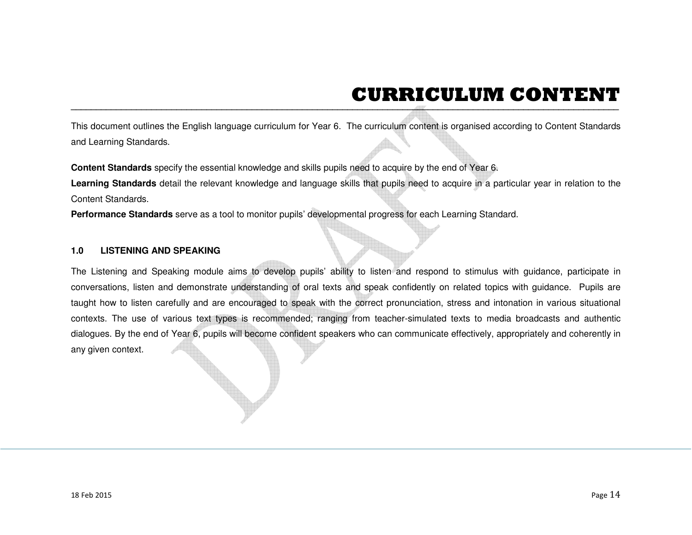## **CURRICULUM CONTENT**

This document outlines the English language curriculum for Year 6. The curriculum content is erganised according to Content Standards<br>and Learning Standards.<br>Content Standards specify the essential knowledge and skills pup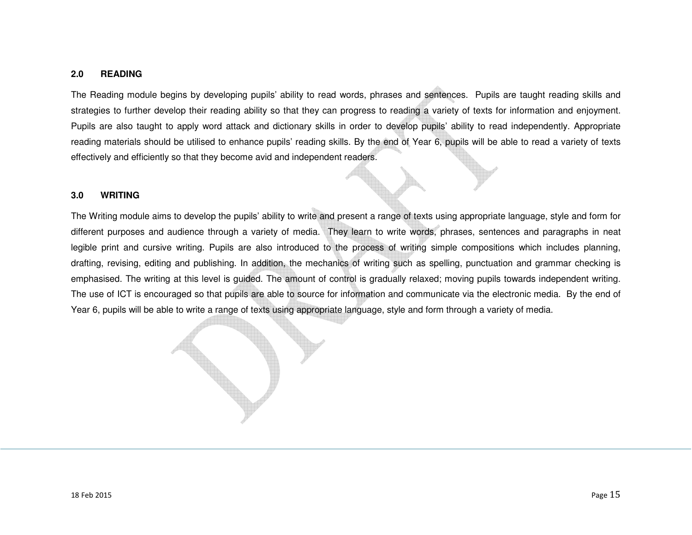### **2.0 READING**

The Reading module begins by developing pupils' ability to read words, phrases and sentences. Pupils are taught reading skills and strategies to further develop their reading ability so that they can progress to reading a variety of texts for information and enjoyment. Pupils are also taught to apply word attack and dictionary skills in order to develop pupils' ability to read independently. Appropriate reading materials should be utilised to enhance pupils' reading skills. By the end of Year 6, pupils will be able to read a variety of texts effectively and efficiently so that they become avid and independent readers.

### **3.0 WRITING**

The Writing module aims to develop the pupils' ability to write and present a range of texts using appropriate language, style and form for different purposes and audience through a variety of media. They learn to write words, phrases, sentences and paragraphs in neat legible print and cursive writing. Pupils are also introduced to the process of writing simple compositions which includes planning, drafting, revising, editing and publishing. In addition, the mechanics of writing such as spelling, punctuation and grammar checking is emphasised. The writing at this level is guided. The amount of control is gradually relaxed; moving pupils towards independent writing. The use of ICT is encouraged so that pupils are able to source for information and communicate via the electronic media. By the end of Year 6, pupils will be able to write a range of texts using appropriate language, style and form through a variety of media.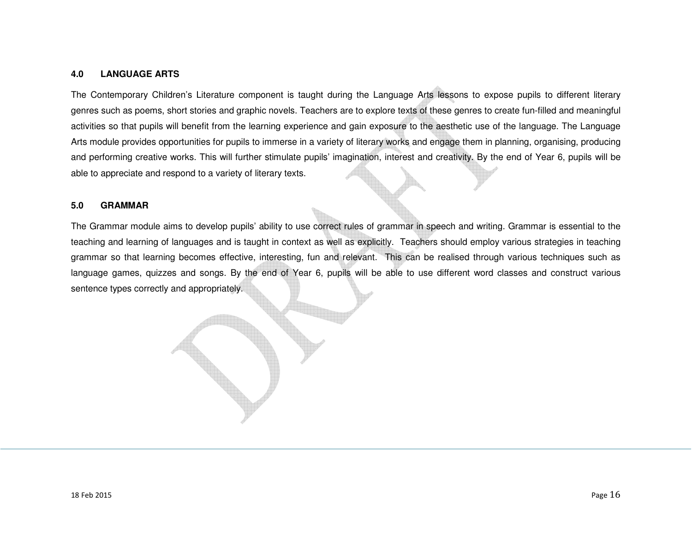### **4.0 LANGUAGE ARTS**

The Contemporary Children's Literature component is taught during the Language Arts lessons to expose pupils to different literary genres such as poems, short stories and graphic novels. Teachers are to explore texts of these genres to create fun-filled and meaningful activities so that pupils will benefit from the learning experience and gain exposure to the aesthetic use of the language. The Language Arts module provides opportunities for pupils to immerse in a variety of literary works and engage them in planning, organising, producing and performing creative works. This will further stimulate pupils' imagination, interest and creativity. By the end of Year 6, pupils will be able to appreciate and respond to a variety of literary texts.

### **5.0 GRAMMAR**

The Grammar module aims to develop pupils' ability to use correct rules of grammar in speech and writing. Grammar is essential to the teaching and learning of languages and is taught in context as well as explicitly. Teachers should employ various strategies in teaching grammar so that learning becomes effective, interesting, fun and relevant. This can be realised through various techniques such as language games, quizzes and songs. By the end of Year 6, pupils will be able to use different word classes and construct various sentence types correctly and appropriately.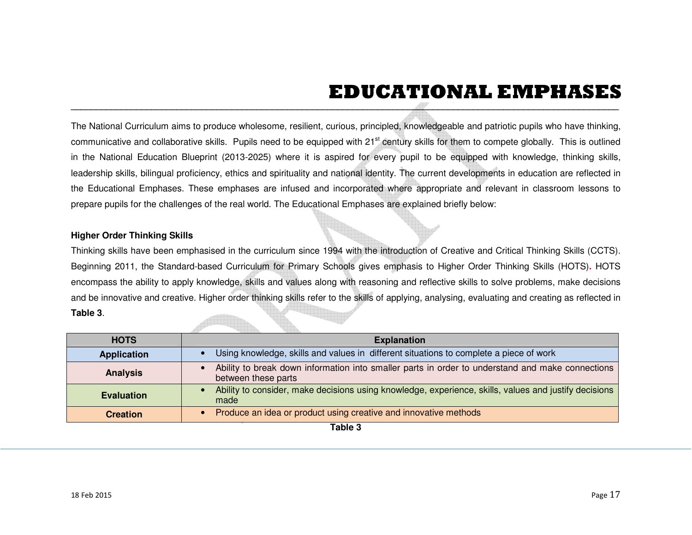## **EDUCATIONAL EMPHASES**

|                                                                                                  | The National Curriculum aims to produce wholesome, resilient, curious, principled, knowledgeable and patriotic pupils who have thinking,               |  |  |  |  |
|--------------------------------------------------------------------------------------------------|--------------------------------------------------------------------------------------------------------------------------------------------------------|--|--|--|--|
|                                                                                                  | communicative and collaborative skills. Pupils need to be equipped with 21 <sup>st</sup> century skills for them to compete globally. This is outlined |  |  |  |  |
|                                                                                                  | in the National Education Blueprint (2013-2025) where it is aspired for every pupil to be equipped with knowledge, thinking skills,                    |  |  |  |  |
|                                                                                                  | leadership skills, bilingual proficiency, ethics and spirituality and national identity. The current developments in education are reflected in        |  |  |  |  |
|                                                                                                  | the Educational Emphases. These emphases are infused and incorporated where appropriate and relevant in classroom lessons to                           |  |  |  |  |
|                                                                                                  | prepare pupils for the challenges of the real world. The Educational Emphases are explained briefly below:                                             |  |  |  |  |
|                                                                                                  |                                                                                                                                                        |  |  |  |  |
| <b>Higher Order Thinking Skills</b>                                                              |                                                                                                                                                        |  |  |  |  |
|                                                                                                  | Thinking skills have been emphasised in the curriculum since 1994 with the introduction of Creative and Critical Thinking Skills (CCTS).               |  |  |  |  |
|                                                                                                  | Beginning 2011, the Standard-based Curriculum for Primary Schools gives emphasis to Higher Order Thinking Skills (HOTS). HOTS                          |  |  |  |  |
|                                                                                                  |                                                                                                                                                        |  |  |  |  |
|                                                                                                  | encompass the ability to apply knowledge, skills and values along with reasoning and reflective skills to solve problems, make decisions               |  |  |  |  |
|                                                                                                  | and be innovative and creative. Higher order thinking skills refer to the skills of applying, analysing, evaluating and creating as reflected in       |  |  |  |  |
| Table 3.                                                                                         |                                                                                                                                                        |  |  |  |  |
|                                                                                                  |                                                                                                                                                        |  |  |  |  |
| <b>HOTS</b>                                                                                      | <b>Explanation</b>                                                                                                                                     |  |  |  |  |
| <b>Application</b>                                                                               | Using knowledge, skills and values in different situations to complete a piece of work<br>$\bullet$                                                    |  |  |  |  |
| <b>Analysis</b>                                                                                  | Ability to break down information into smaller parts in order to understand and make connections<br>between these parts                                |  |  |  |  |
| <b>Evaluation</b>                                                                                | Ability to consider, make decisions using knowledge, experience, skills, values and justify decisions<br>$\bullet$<br>made                             |  |  |  |  |
| Produce an idea or product using creative and innovative methods<br><b>Creation</b><br>$\bullet$ |                                                                                                                                                        |  |  |  |  |
|                                                                                                  | Table 3                                                                                                                                                |  |  |  |  |
|                                                                                                  |                                                                                                                                                        |  |  |  |  |
|                                                                                                  |                                                                                                                                                        |  |  |  |  |
|                                                                                                  |                                                                                                                                                        |  |  |  |  |
|                                                                                                  |                                                                                                                                                        |  |  |  |  |
| 18 Feb 2015                                                                                      | Page 17                                                                                                                                                |  |  |  |  |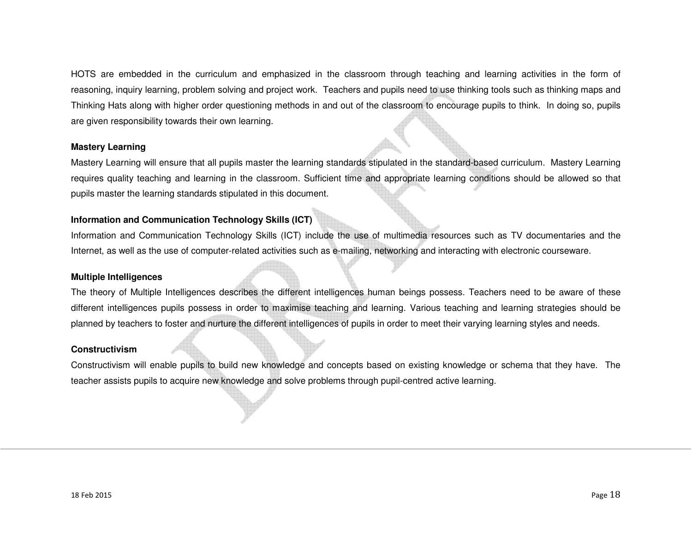HOTS are embedded in the curriculum and emphasized in the classroom through teaching and learning activities in the form of reasoning, inquiry learning, problem solving and project work. Teachers and pupils need to use thinking tools such as thinking maps and Thinking Hats along with higher order questioning methods in and out of the classroom to encourage pupils to think. In doing so, pupils are given responsibility towards their own learning.

## **Mastery Learning**

Mastery Learning will ensure that all pupils master the learning standards stipulated in the standard-based curriculum. Mastery Learning requires quality teaching and learning in the classroom. Sufficient time and appropriate learning conditions should be allowed so that pupils master the learning standards stipulated in this document.

## **Information and Communication Technology Skills (ICT)**

Information and Communication Technology Skills (ICT) include the use of multimedia resources such as TV documentaries and the Internet, as well as the use of computer-related activities such as e-mailing, networking and interacting with electronic courseware.

## **Multiple Intelligences**

The theory of Multiple Intelligences describes the different intelligences human beings possess. Teachers need to be aware of these different intelligences pupils possess in order to maximise teaching and learning. Various teaching and learning strategies should be planned by teachers to foster and nurture the different intelligences of pupils in order to meet their varying learning styles and needs.

## **Constructivism**

Constructivism will enable pupils to build new knowledge and concepts based on existing knowledge or schema that they have. The teacher assists pupils to acquire new knowledge and solve problems through pupil-centred active learning.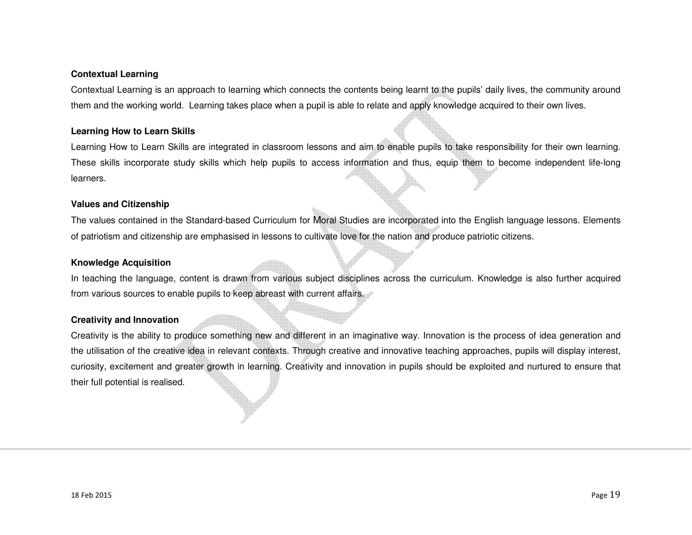## **Contextual Learning**

Contextual Learning is an approach to learning which connects the contents being learnt to the pupils' daily lives, the community around them and the working world. Learning takes place when a pupil is able to relate and apply knowledge acquired to their own lives.

### **Learning How to Learn Skills**

Learning How to Learn Skills are integrated in classroom lessons and aim to enable pupils to take responsibility for their own learning. These skills incorporate study skills which help pupils to access information and thus, equip them to become independent life-long learners.

### **Values and Citizenship**

The values contained in the Standard-based Curriculum for Moral Studies are incorporated into the English language lessons. Elements of patriotism and citizenship are emphasised in lessons to cultivate love for the nation and produce patriotic citizens.

### **Knowledge Acquisition**

In teaching the language, content is drawn from various subject disciplines across the curriculum. Knowledge is also further acquired from various sources to enable pupils to keep abreast with current affairs.

## **Creativity and Innovation**

Creativity is the ability to produce something new and different in an imaginative way. Innovation is the process of idea generation and the utilisation of the creative idea in relevant contexts. Through creative and innovative teaching approaches, pupils will display interest, curiosity, excitement and greater growth in learning. Creativity and innovation in pupils should be exploited and nurtured to ensure that their full potential is realised.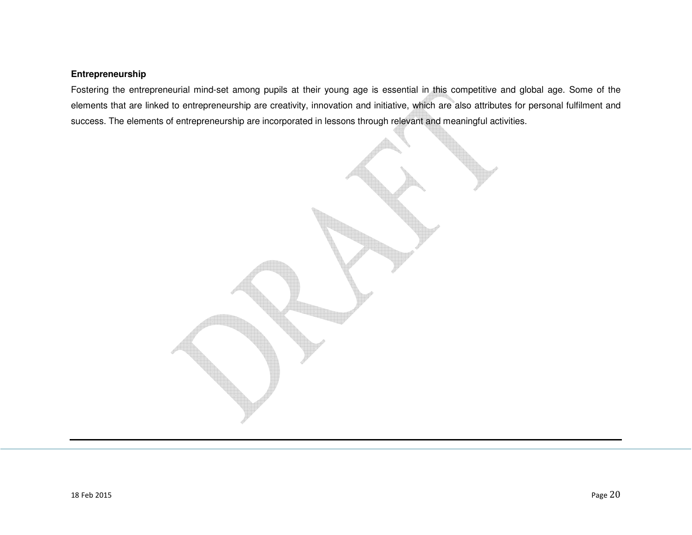## **Entrepreneurship**

Fostering the entrepreneurial mind-set among pupils at their young age is essential in this competitive and global age. Some of the elements that are linked to entrepreneurship are creativity, innovation and initiative, which are also attributes for personal fulfilment and success. The elements of entrepreneurship are incorporated in lessons through relevant and meaningful activities.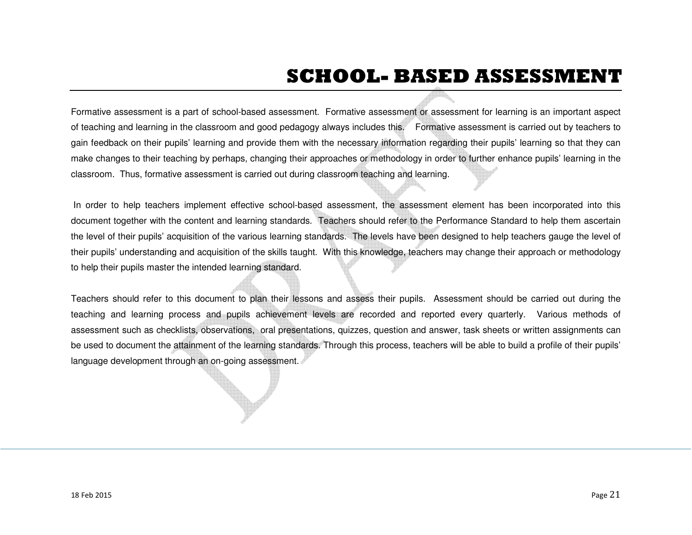## **SCHOOL- BASED ASSESSMENT**

Formative assessment is a part of school-based assessment. Formative assessment or assessment for learning is an important aspect of teaching and learning in the classroom and good pedagogy always includes this. Formative assessment is carried out by teachers to gain feedback on their pupils' learning and provide them with the necessary information regarding their pupils' learning so that they can make changes to their teaching by perhaps, changing their approaches or methodology in order to further enhance pupils' learning in the classroom. Thus, formative assessment is carried out during classroom teaching and learning.

 In order to help teachers implement effective school-based assessment, the assessment element has been incorporated into this document together with the content and learning standards. Teachers should refer to the Performance Standard to help them ascertain the level of their pupils' acquisition of the various learning standards. The levels have been designed to help teachers gauge the level of their pupils' understanding and acquisition of the skills taught. With this knowledge, teachers may change their approach or methodology to help their pupils master the intended learning standard.

Teachers should refer to this document to plan their lessons and assess their pupils. Assessment should be carried out during the teaching and learning process and pupils achievement levels are recorded and reported every quarterly. Various methods of assessment such as checklists, observations, oral presentations, quizzes, question and answer, task sheets or written assignments can be used to document the attainment of the learning standards. Through this process, teachers will be able to build a profile of their pupils' language development through an on-going assessment.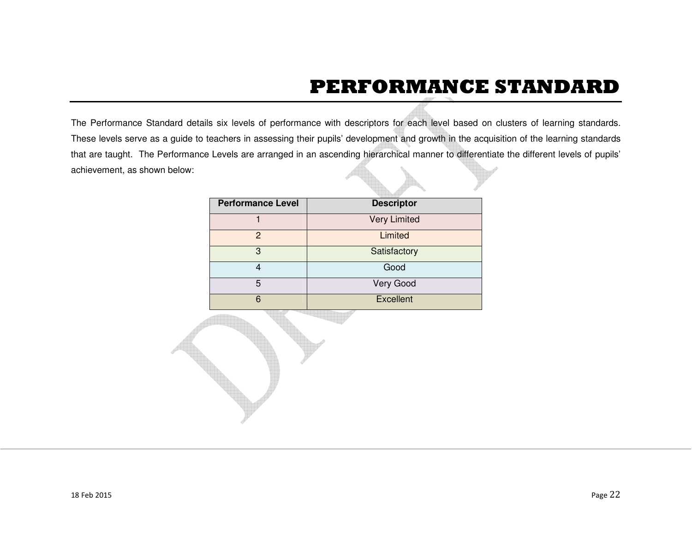## **PERFORMANCE STANDARD**

The Performance Standard details six levels of performance with descriptors for each level based on clusters of learning standards. These levels serve as a guide to teachers in assessing their pupils' development and growth in the acquisition of the learning standards that are taught. The Performance Levels are arranged in an ascending hierarchical manner to differentiate the different levels of pupils' achievement, as shown below:

| <b>Performance Level</b> | <b>Descriptor</b>   |
|--------------------------|---------------------|
|                          | <b>Very Limited</b> |
| 2                        | Limited             |
| 3                        | Satisfactory        |
|                          | Good                |
| 5                        | Very Good           |
| 6                        | <b>Excellent</b>    |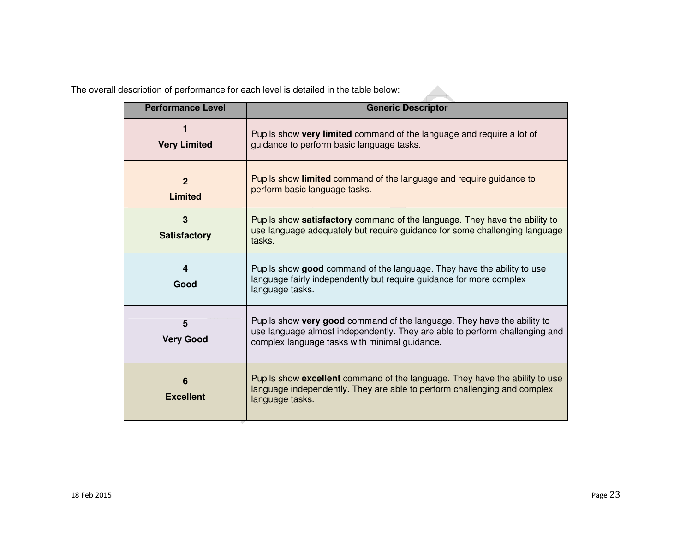The overall description of performance for each level is detailed in the table below:

| <b>Performance Level</b>           | <b>Generic Descriptor</b>                                                                                                                                                                               |
|------------------------------------|---------------------------------------------------------------------------------------------------------------------------------------------------------------------------------------------------------|
| 1<br><b>Very Limited</b>           | Pupils show very limited command of the language and require a lot of<br>guidance to perform basic language tasks.                                                                                      |
| $\overline{2}$<br><b>Limited</b>   | Pupils show limited command of the language and require guidance to<br>perform basic language tasks.                                                                                                    |
| 3<br><b>Satisfactory</b>           | Pupils show satisfactory command of the language. They have the ability to<br>use language adequately but require guidance for some challenging language<br>tasks.                                      |
| 4<br>Good                          | Pupils show good command of the language. They have the ability to use<br>language fairly independently but require guidance for more complex<br>language tasks.                                        |
| 5<br><b>Very Good</b>              | Pupils show very good command of the language. They have the ability to<br>use language almost independently. They are able to perform challenging and<br>complex language tasks with minimal guidance. |
| $6\phantom{1}$<br><b>Excellent</b> | Pupils show excellent command of the language. They have the ability to use<br>language independently. They are able to perform challenging and complex<br>language tasks.                              |

 $\mathbb A$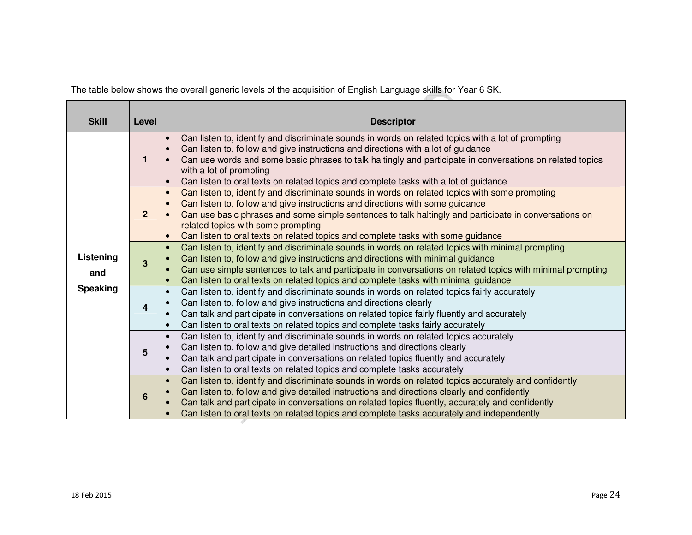The table below shows the overall generic levels of the acquisition of English Language skills for Year 6 SK.

| <b>Skill</b>     | Level          | <b>Descriptor</b>                                                                                                                                                                                                                                                                                                                                                                                                                            |
|------------------|----------------|----------------------------------------------------------------------------------------------------------------------------------------------------------------------------------------------------------------------------------------------------------------------------------------------------------------------------------------------------------------------------------------------------------------------------------------------|
|                  | 1              | Can listen to, identify and discriminate sounds in words on related topics with a lot of prompting<br>$\bullet$<br>Can listen to, follow and give instructions and directions with a lot of guidance<br>Can use words and some basic phrases to talk haltingly and participate in conversations on related topics<br>with a lot of prompting<br>Can listen to oral texts on related topics and complete tasks with a lot of guidance         |
|                  | $\overline{2}$ | Can listen to, identify and discriminate sounds in words on related topics with some prompting<br>$\bullet$<br>Can listen to, follow and give instructions and directions with some guidance<br>$\bullet$<br>Can use basic phrases and some simple sentences to talk haltingly and participate in conversations on<br>related topics with some prompting<br>Can listen to oral texts on related topics and complete tasks with some guidance |
| Listening<br>and | 3              | Can listen to, identify and discriminate sounds in words on related topics with minimal prompting<br>$\bullet$<br>Can listen to, follow and give instructions and directions with minimal guidance<br>Can use simple sentences to talk and participate in conversations on related topics with minimal prompting<br>Can listen to oral texts on related topics and complete tasks with minimal guidance                                      |
| <b>Speaking</b>  | 4              | Can listen to, identify and discriminate sounds in words on related topics fairly accurately<br>$\bullet$<br>Can listen to, follow and give instructions and directions clearly<br>Can talk and participate in conversations on related topics fairly fluently and accurately<br>Can listen to oral texts on related topics and complete tasks fairly accurately<br>$\bullet$                                                                |
|                  | 5              | Can listen to, identify and discriminate sounds in words on related topics accurately<br>$\bullet$<br>Can listen to, follow and give detailed instructions and directions clearly<br>Can talk and participate in conversations on related topics fluently and accurately<br>$\bullet$<br>Can listen to oral texts on related topics and complete tasks accurately                                                                            |
|                  | 6              | Can listen to, identify and discriminate sounds in words on related topics accurately and confidently<br>$\bullet$<br>Can listen to, follow and give detailed instructions and directions clearly and confidently<br>Can talk and participate in conversations on related topics fluently, accurately and confidently<br>Can listen to oral texts on related topics and complete tasks accurately and independently                          |

<u> Tanzania de la contrada de la contrada de la contrada de la contrada de la contrada de la contrada de la con</u>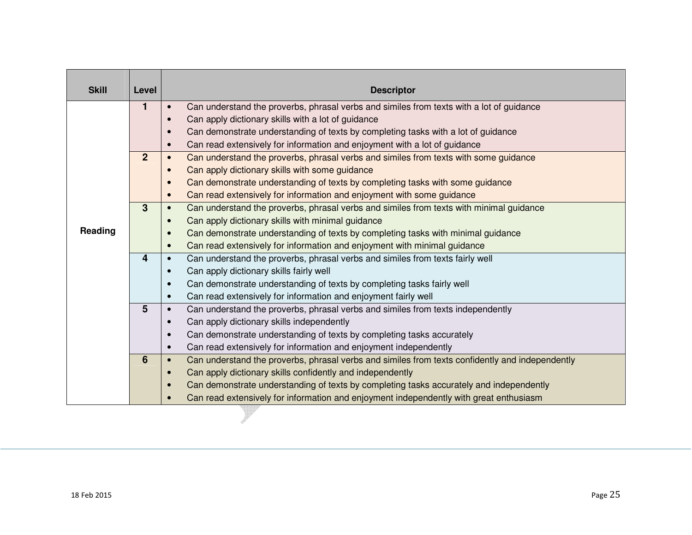| <b>Skill</b> | Level          | <b>Descriptor</b>                                                                                            |
|--------------|----------------|--------------------------------------------------------------------------------------------------------------|
|              | $\mathbf{1}$   | Can understand the proverbs, phrasal verbs and similes from texts with a lot of guidance<br>$\bullet$        |
|              |                | Can apply dictionary skills with a lot of guidance<br>$\bullet$                                              |
|              |                | Can demonstrate understanding of texts by completing tasks with a lot of guidance<br>$\bullet$               |
|              |                | Can read extensively for information and enjoyment with a lot of guidance<br>$\bullet$                       |
|              | $\overline{2}$ | Can understand the proverbs, phrasal verbs and similes from texts with some guidance<br>$\bullet$            |
|              |                | Can apply dictionary skills with some guidance<br>$\bullet$                                                  |
|              |                | Can demonstrate understanding of texts by completing tasks with some guidance<br>$\bullet$                   |
|              |                | Can read extensively for information and enjoyment with some guidance<br>$\bullet$                           |
|              | $\mathbf{3}$   | Can understand the proverbs, phrasal verbs and similes from texts with minimal guidance<br>$\bullet$         |
|              |                | Can apply dictionary skills with minimal guidance<br>$\bullet$                                               |
| Reading      |                | $\bullet$                                                                                                    |
|              |                | Can demonstrate understanding of texts by completing tasks with minimal guidance<br>$\bullet$                |
|              | $\overline{4}$ | Can read extensively for information and enjoyment with minimal guidance<br>$\bullet$                        |
|              |                | Can understand the proverbs, phrasal verbs and similes from texts fairly well                                |
|              |                | Can apply dictionary skills fairly well<br>$\bullet$                                                         |
|              |                | Can demonstrate understanding of texts by completing tasks fairly well<br>$\bullet$                          |
|              |                | Can read extensively for information and enjoyment fairly well<br>$\bullet$                                  |
|              | $5\phantom{1}$ | Can understand the proverbs, phrasal verbs and similes from texts independently<br>$\bullet$                 |
|              |                | Can apply dictionary skills independently<br>$\bullet$                                                       |
|              |                | Can demonstrate understanding of texts by completing tasks accurately<br>$\bullet$                           |
|              |                | Can read extensively for information and enjoyment independently<br>$\bullet$                                |
|              | 6              | Can understand the proverbs, phrasal verbs and similes from texts confidently and independently<br>$\bullet$ |
|              |                | Can apply dictionary skills confidently and independently<br>$\bullet$                                       |
|              |                | Can demonstrate understanding of texts by completing tasks accurately and independently                      |
|              |                | Can read extensively for information and enjoyment independently with great enthusiasm                       |
|              |                |                                                                                                              |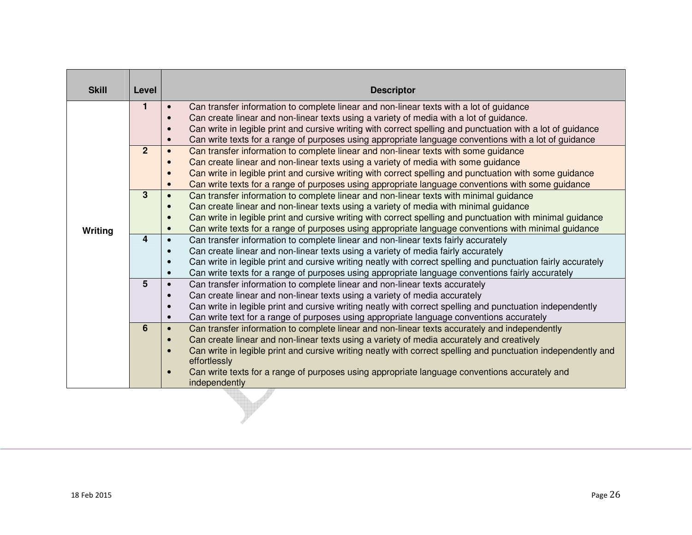| <b>Skill</b>   | Level          | <b>Descriptor</b>                                                                                                             |
|----------------|----------------|-------------------------------------------------------------------------------------------------------------------------------|
|                | $\mathbf{1}$   | Can transfer information to complete linear and non-linear texts with a lot of guidance                                       |
|                |                | Can create linear and non-linear texts using a variety of media with a lot of guidance.                                       |
|                |                | Can write in legible print and cursive writing with correct spelling and punctuation with a lot of guidance<br>$\bullet$      |
|                |                | Can write texts for a range of purposes using appropriate language conventions with a lot of guidance<br>$\bullet$            |
|                | $\overline{2}$ | Can transfer information to complete linear and non-linear texts with some guidance                                           |
|                |                | Can create linear and non-linear texts using a variety of media with some guidance                                            |
|                |                | Can write in legible print and cursive writing with correct spelling and punctuation with some guidance<br>$\bullet$          |
|                |                | Can write texts for a range of purposes using appropriate language conventions with some guidance                             |
|                | 3              | Can transfer information to complete linear and non-linear texts with minimal guidance<br>$\bullet$                           |
|                |                | Can create linear and non-linear texts using a variety of media with minimal guidance<br>$\bullet$                            |
|                |                | Can write in legible print and cursive writing with correct spelling and punctuation with minimal guidance<br>$\bullet$       |
| <b>Writing</b> |                | Can write texts for a range of purposes using appropriate language conventions with minimal guidance                          |
|                | 4              | Can transfer information to complete linear and non-linear texts fairly accurately<br>$\bullet$                               |
|                |                | Can create linear and non-linear texts using a variety of media fairly accurately<br>$\bullet$                                |
|                |                | Can write in legible print and cursive writing neatly with correct spelling and punctuation fairly accurately<br>$\bullet$    |
|                |                | Can write texts for a range of purposes using appropriate language conventions fairly accurately<br>$\bullet$                 |
|                | 5              | Can transfer information to complete linear and non-linear texts accurately                                                   |
|                |                | Can create linear and non-linear texts using a variety of media accurately                                                    |
|                |                | Can write in legible print and cursive writing neatly with correct spelling and punctuation independently<br>$\bullet$        |
|                |                | Can write text for a range of purposes using appropriate language conventions accurately<br>$\bullet$                         |
|                | 6              | Can transfer information to complete linear and non-linear texts accurately and independently<br>$\bullet$                    |
|                |                | Can create linear and non-linear texts using a variety of media accurately and creatively                                     |
|                |                | Can write in legible print and cursive writing neatly with correct spelling and punctuation independently and<br>effortlessly |
|                |                | Can write texts for a range of purposes using appropriate language conventions accurately and<br>independently                |

₩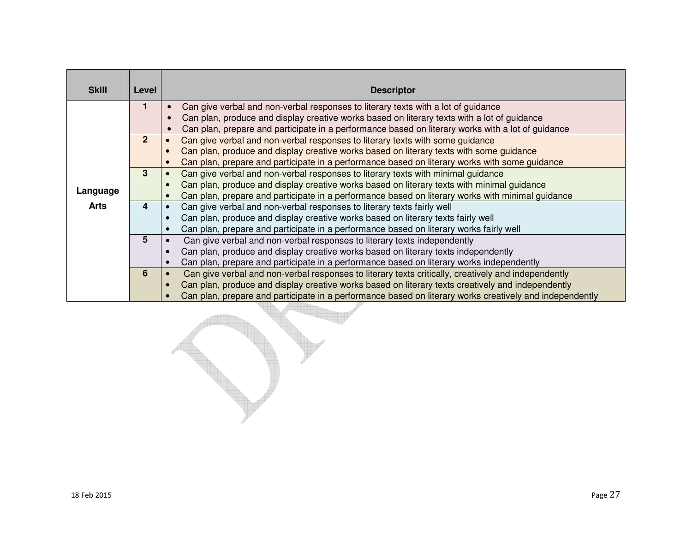| <b>Skill</b> | Level          | <b>Descriptor</b>                                                                                             |
|--------------|----------------|---------------------------------------------------------------------------------------------------------------|
|              | 1              | Can give verbal and non-verbal responses to literary texts with a lot of guidance                             |
|              |                | Can plan, produce and display creative works based on literary texts with a lot of guidance                   |
|              |                | Can plan, prepare and participate in a performance based on literary works with a lot of guidance             |
|              | 2 <sup>2</sup> | Can give verbal and non-verbal responses to literary texts with some guidance<br>$\bullet$                    |
|              |                | Can plan, produce and display creative works based on literary texts with some guidance<br>$\bullet$          |
|              |                | Can plan, prepare and participate in a performance based on literary works with some quidance<br>$\bullet$    |
|              | 3              | Can give verbal and non-verbal responses to literary texts with minimal guidance                              |
|              |                | Can plan, produce and display creative works based on literary texts with minimal guidance                    |
| Language     |                | Can plan, prepare and participate in a performance based on literary works with minimal guidance<br>$\bullet$ |
| <b>Arts</b>  | 4              | Can give verbal and non-verbal responses to literary texts fairly well                                        |
|              |                | Can plan, produce and display creative works based on literary texts fairly well                              |
|              |                | Can plan, prepare and participate in a performance based on literary works fairly well                        |
|              | 5              | Can give verbal and non-verbal responses to literary texts independently                                      |
|              |                | Can plan, produce and display creative works based on literary texts independently                            |
|              |                | Can plan, prepare and participate in a performance based on literary works independently<br>$\bullet$         |
|              | 6              | Can give verbal and non-verbal responses to literary texts critically, creatively and independently           |
|              |                | Can plan, produce and display creative works based on literary texts creatively and independently             |
|              |                | Can plan, prepare and participate in a performance based on literary works creatively and independently       |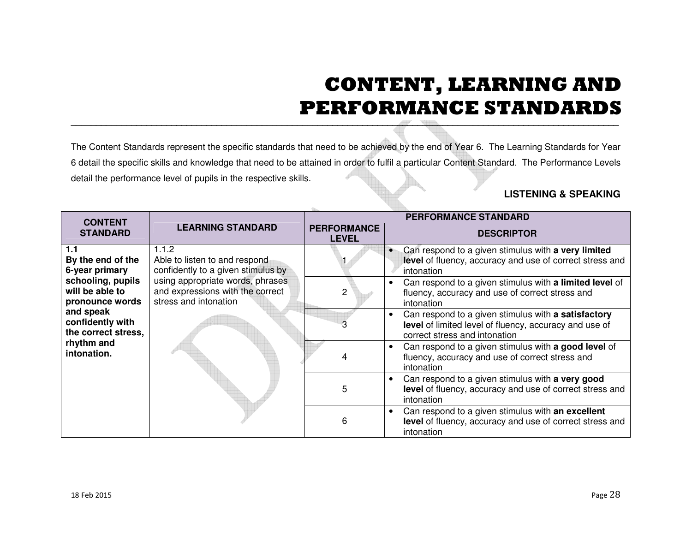## **CONTENT, LEARNING AND PERFORMANCE STANDARDS**

| <b>PERFORMANCE STANDARD</b><br><b>CONTENT</b><br><b>LEARNING STANDARD</b><br><b>PERFORMANCE</b><br><b>STANDARD</b><br><b>DESCRIPTOR</b><br><b>LEVEL</b><br>1.1.2<br>1.1<br>$\bullet$<br>Able to listen to and respond<br>By the end of the<br>confidently to a given stimulus by<br>6-year primary<br>intonation<br>schooling, pupils<br>using appropriate words, phrases<br>$\bullet$<br>will be able to<br>and expressions with the correct<br>$\overline{2}$<br>fluency, accuracy and use of correct stress and<br>stress and intonation<br>pronounce words<br>intonation<br>and speak<br>$\bullet$<br>confidently with<br>3<br>the correct stress,<br>correct stress and intonation<br>rhythm and<br>$\bullet$<br>intonation.<br>4<br>fluency, accuracy and use of correct stress and<br>intonation<br>Can respond to a given stimulus with a very good<br>$\bullet$<br>5<br>intonation<br>Can respond to a given stimulus with an excellent<br>6<br>intonation |  | detail the performance level of pupils in the respective skills. | 6 detail the specific skills and knowledge that need to be attained in order to fulfil a particular Content Standard. The Performance Levels<br><b>LISTENING &amp; SPEAKING</b> |  |  |                                                                                                               |
|---------------------------------------------------------------------------------------------------------------------------------------------------------------------------------------------------------------------------------------------------------------------------------------------------------------------------------------------------------------------------------------------------------------------------------------------------------------------------------------------------------------------------------------------------------------------------------------------------------------------------------------------------------------------------------------------------------------------------------------------------------------------------------------------------------------------------------------------------------------------------------------------------------------------------------------------------------------------|--|------------------------------------------------------------------|---------------------------------------------------------------------------------------------------------------------------------------------------------------------------------|--|--|---------------------------------------------------------------------------------------------------------------|
|                                                                                                                                                                                                                                                                                                                                                                                                                                                                                                                                                                                                                                                                                                                                                                                                                                                                                                                                                                     |  |                                                                  |                                                                                                                                                                                 |  |  |                                                                                                               |
|                                                                                                                                                                                                                                                                                                                                                                                                                                                                                                                                                                                                                                                                                                                                                                                                                                                                                                                                                                     |  |                                                                  |                                                                                                                                                                                 |  |  |                                                                                                               |
|                                                                                                                                                                                                                                                                                                                                                                                                                                                                                                                                                                                                                                                                                                                                                                                                                                                                                                                                                                     |  |                                                                  | Can respond to a given stimulus with a very limited<br>level of fluency, accuracy and use of correct stress and                                                                 |  |  |                                                                                                               |
|                                                                                                                                                                                                                                                                                                                                                                                                                                                                                                                                                                                                                                                                                                                                                                                                                                                                                                                                                                     |  |                                                                  | Can respond to a given stimulus with a limited level of                                                                                                                         |  |  |                                                                                                               |
|                                                                                                                                                                                                                                                                                                                                                                                                                                                                                                                                                                                                                                                                                                                                                                                                                                                                                                                                                                     |  |                                                                  |                                                                                                                                                                                 |  |  | Can respond to a given stimulus with a satisfactory<br>level of limited level of fluency, accuracy and use of |
|                                                                                                                                                                                                                                                                                                                                                                                                                                                                                                                                                                                                                                                                                                                                                                                                                                                                                                                                                                     |  |                                                                  | Can respond to a given stimulus with a good level of                                                                                                                            |  |  |                                                                                                               |
|                                                                                                                                                                                                                                                                                                                                                                                                                                                                                                                                                                                                                                                                                                                                                                                                                                                                                                                                                                     |  |                                                                  | level of fluency, accuracy and use of correct stress and                                                                                                                        |  |  |                                                                                                               |
|                                                                                                                                                                                                                                                                                                                                                                                                                                                                                                                                                                                                                                                                                                                                                                                                                                                                                                                                                                     |  |                                                                  | level of fluency, accuracy and use of correct stress and                                                                                                                        |  |  |                                                                                                               |
|                                                                                                                                                                                                                                                                                                                                                                                                                                                                                                                                                                                                                                                                                                                                                                                                                                                                                                                                                                     |  |                                                                  |                                                                                                                                                                                 |  |  |                                                                                                               |
|                                                                                                                                                                                                                                                                                                                                                                                                                                                                                                                                                                                                                                                                                                                                                                                                                                                                                                                                                                     |  |                                                                  |                                                                                                                                                                                 |  |  |                                                                                                               |
| 18 Feb 2015                                                                                                                                                                                                                                                                                                                                                                                                                                                                                                                                                                                                                                                                                                                                                                                                                                                                                                                                                         |  |                                                                  | Page 28                                                                                                                                                                         |  |  |                                                                                                               |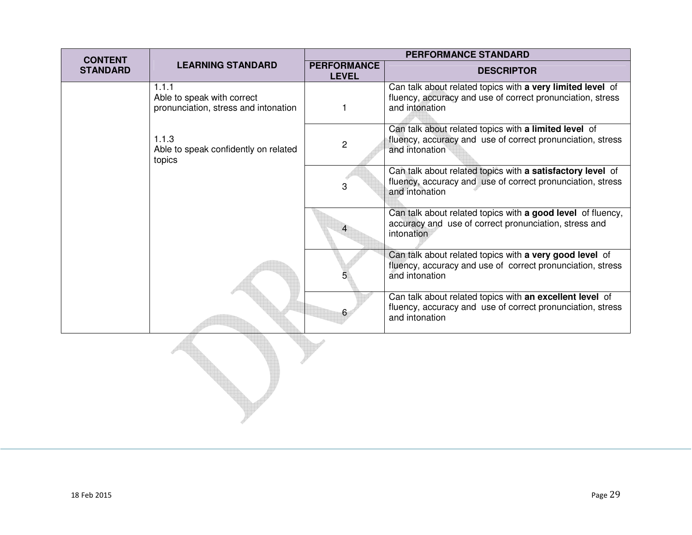| <b>CONTENT</b>  |                                                                             |                                    | <b>PERFORMANCE STANDARD</b>                                                                                                                |
|-----------------|-----------------------------------------------------------------------------|------------------------------------|--------------------------------------------------------------------------------------------------------------------------------------------|
| <b>STANDARD</b> | <b>LEARNING STANDARD</b>                                                    | <b>PERFORMANCE</b><br><b>LEVEL</b> | <b>DESCRIPTOR</b>                                                                                                                          |
|                 | 1.1.1<br>Able to speak with correct<br>pronunciation, stress and intonation | 1                                  | Can talk about related topics with a very limited level of<br>fluency, accuracy and use of correct pronunciation, stress<br>and intonation |
|                 | 1.1.3<br>Able to speak confidently on related<br>topics                     | $\mathbf 2$                        | Can talk about related topics with a limited level of<br>fluency, accuracy and use of correct pronunciation, stress<br>and intonation      |
|                 |                                                                             | 3                                  | Can talk about related topics with a satisfactory level of<br>fluency, accuracy and use of correct pronunciation, stress<br>and intonation |
|                 |                                                                             |                                    | Can talk about related topics with a good level of fluency,<br>accuracy and use of correct pronunciation, stress and<br>intonation         |
|                 |                                                                             |                                    | Can talk about related topics with a very good level of<br>fluency, accuracy and use of correct pronunciation, stress<br>and intonation    |
|                 |                                                                             | 6                                  | Can talk about related topics with an excellent level of<br>fluency, accuracy and use of correct pronunciation, stress<br>and intonation   |
|                 |                                                                             |                                    |                                                                                                                                            |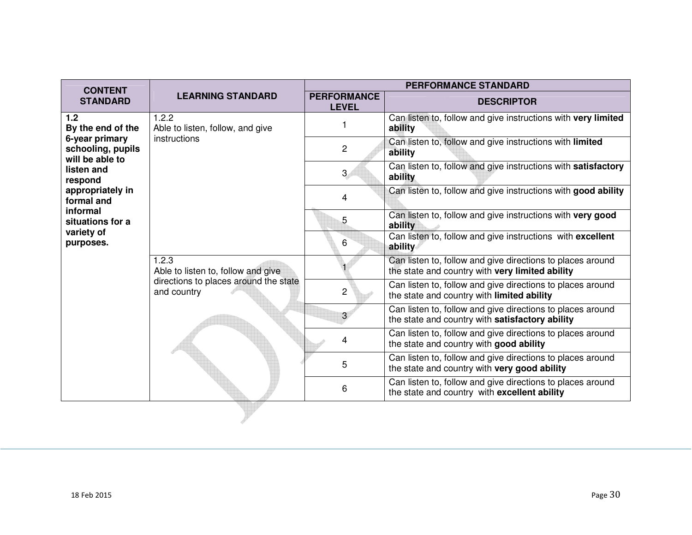| <b>CONTENT</b>                                                                  | <b>LEARNING STANDARD</b>                                                    | <b>PERFORMANCE STANDARD</b>        |                                                                                                               |  |
|---------------------------------------------------------------------------------|-----------------------------------------------------------------------------|------------------------------------|---------------------------------------------------------------------------------------------------------------|--|
| <b>STANDARD</b>                                                                 |                                                                             | <b>PERFORMANCE</b><br><b>LEVEL</b> | <b>DESCRIPTOR</b>                                                                                             |  |
| 1.2<br>By the end of the                                                        | 1.2.2<br>Able to listen, follow, and give                                   |                                    | Can listen to, follow and give instructions with very limited<br>ability                                      |  |
| 6-year primary<br>schooling, pupils<br>will be able to                          | instructions                                                                | $\overline{2}$                     | Can listen to, follow and give instructions with limited<br>ability                                           |  |
| listen and<br>respond                                                           |                                                                             | $\mathbf{3}$                       | Can listen to, follow and give instructions with satisfactory<br>ability                                      |  |
| appropriately in<br>formal and                                                  |                                                                             | 4                                  | Can listen to, follow and give instructions with good ability                                                 |  |
| informal<br>situations for a<br>variety of<br>purposes.<br>1.2.3<br>and country |                                                                             | 5                                  | Can listen to, follow and give instructions with very good<br>ability                                         |  |
|                                                                                 |                                                                             | 6                                  | Can listen to, follow and give instructions with excellent<br>ability                                         |  |
|                                                                                 | Able to listen to, follow and give<br>directions to places around the state |                                    | Can listen to, follow and give directions to places around<br>the state and country with very limited ability |  |
|                                                                                 |                                                                             | $\overline{2}$                     | Can listen to, follow and give directions to places around<br>the state and country with limited ability      |  |
|                                                                                 |                                                                             | 3                                  | Can listen to, follow and give directions to places around<br>the state and country with satisfactory ability |  |
|                                                                                 |                                                                             | 4                                  | Can listen to, follow and give directions to places around<br>the state and country with good ability         |  |
|                                                                                 |                                                                             | 5                                  | Can listen to, follow and give directions to places around<br>the state and country with very good ability    |  |
|                                                                                 |                                                                             | 6                                  | Can listen to, follow and give directions to places around<br>the state and country with excellent ability    |  |
|                                                                                 |                                                                             |                                    |                                                                                                               |  |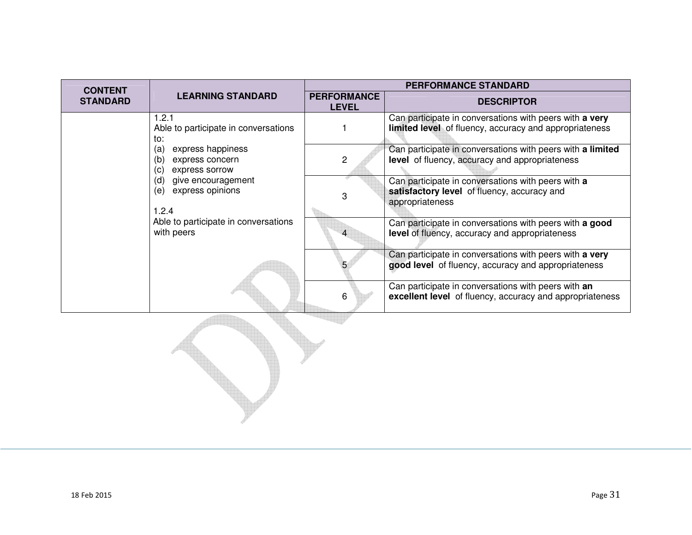| <b>CONTENT</b>  | <b>LEARNING STANDARD</b>                                                                                            | <b>PERFORMANCE STANDARD</b>        |                                                                                                                      |  |
|-----------------|---------------------------------------------------------------------------------------------------------------------|------------------------------------|----------------------------------------------------------------------------------------------------------------------|--|
| <b>STANDARD</b> |                                                                                                                     | <b>PERFORMANCE</b><br><b>LEVEL</b> | <b>DESCRIPTOR</b>                                                                                                    |  |
|                 | 1.2.1<br>Able to participate in conversations<br>to:                                                                |                                    | Can participate in conversations with peers with a very<br>limited level of fluency, accuracy and appropriateness    |  |
|                 | express happiness<br>(a)<br>express concern<br>(b)<br>express sorrow<br>(C)                                         | 2                                  | Can participate in conversations with peers with a limited<br>level of fluency, accuracy and appropriateness         |  |
|                 | give encouragement<br>(d)<br>express opinions<br>(e)<br>1.2.4<br>Able to participate in conversations<br>with peers | 3                                  | Can participate in conversations with peers with a<br>satisfactory level of fluency, accuracy and<br>appropriateness |  |
|                 |                                                                                                                     |                                    | Can participate in conversations with peers with a good<br>level of fluency, accuracy and appropriateness            |  |
|                 |                                                                                                                     |                                    | Can participate in conversations with peers with a very<br>good level of fluency, accuracy and appropriateness       |  |
|                 |                                                                                                                     | 6                                  | Can participate in conversations with peers with an<br>excellent level of fluency, accuracy and appropriateness      |  |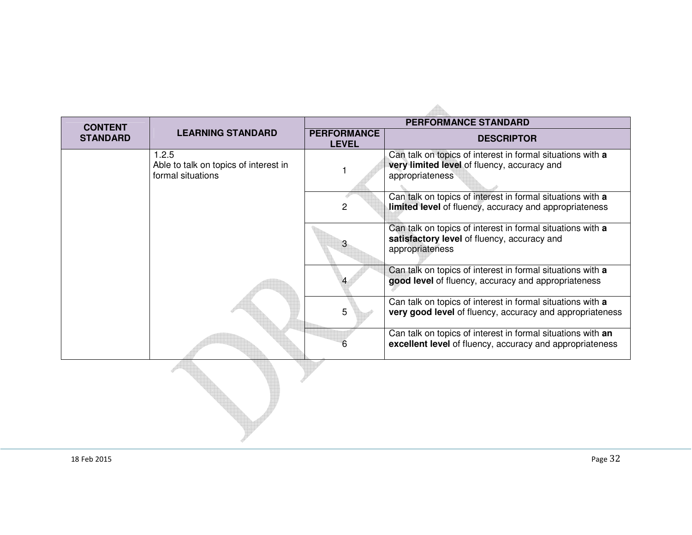| <b>CONTENT</b>  |                                                                     |                                    | <b>PERFORMANCE STANDARD</b>                                                                                                  |
|-----------------|---------------------------------------------------------------------|------------------------------------|------------------------------------------------------------------------------------------------------------------------------|
| <b>STANDARD</b> | <b>LEARNING STANDARD</b>                                            | <b>PERFORMANCE</b><br><b>LEVEL</b> | <b>DESCRIPTOR</b>                                                                                                            |
|                 | 1.2.5<br>Able to talk on topics of interest in<br>formal situations |                                    | Can talk on topics of interest in formal situations with a<br>very limited level of fluency, accuracy and<br>appropriateness |
|                 |                                                                     | 2                                  | Can talk on topics of interest in formal situations with a<br>limited level of fluency, accuracy and appropriateness         |
|                 |                                                                     | 3                                  | Can talk on topics of interest in formal situations with a<br>satisfactory level of fluency, accuracy and<br>appropriateness |
|                 |                                                                     |                                    | Can talk on topics of interest in formal situations with a<br>good level of fluency, accuracy and appropriateness            |
|                 |                                                                     | 5                                  | Can talk on topics of interest in formal situations with a<br>very good level of fluency, accuracy and appropriateness       |
|                 |                                                                     | 6                                  | Can talk on topics of interest in formal situations with an<br>excellent level of fluency, accuracy and appropriateness      |
|                 |                                                                     |                                    |                                                                                                                              |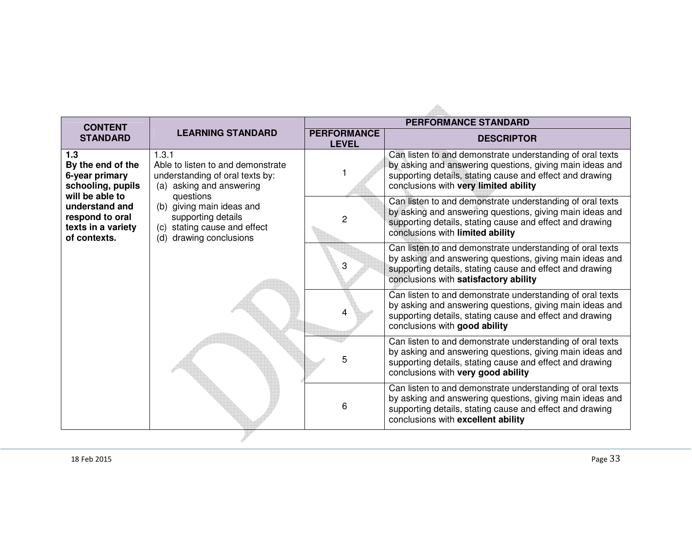| <b>CONTENT</b>                                                                             |                                                                                                                            |                                                                                                                                                                                                                            | <b>PERFORMANCE STANDARD</b>                                                                                                                                                                                                |  |
|--------------------------------------------------------------------------------------------|----------------------------------------------------------------------------------------------------------------------------|----------------------------------------------------------------------------------------------------------------------------------------------------------------------------------------------------------------------------|----------------------------------------------------------------------------------------------------------------------------------------------------------------------------------------------------------------------------|--|
| <b>STANDARD</b>                                                                            | <b>LEARNING STANDARD</b>                                                                                                   | <b>PERFORMANCE</b><br><b>LEVEL</b>                                                                                                                                                                                         | <b>DESCRIPTOR</b>                                                                                                                                                                                                          |  |
| 1.3<br>1.3.1<br>By the end of the<br>6-year primary<br>schooling, pupils                   | Able to listen to and demonstrate<br>understanding of oral texts by:<br>(a) asking and answering                           |                                                                                                                                                                                                                            | Can listen to and demonstrate understanding of oral texts<br>by asking and answering questions, giving main ideas and<br>supporting details, stating cause and effect and drawing<br>conclusions with very limited ability |  |
| will be able to<br>understand and<br>respond to oral<br>texts in a variety<br>of contexts. | questions<br>(b) giving main ideas and<br>supporting details<br>(c) stating cause and effect<br>drawing conclusions<br>(d) | 2                                                                                                                                                                                                                          | Can listen to and demonstrate understanding of oral texts<br>by asking and answering questions, giving main ideas and<br>supporting details, stating cause and effect and drawing<br>conclusions with limited ability      |  |
|                                                                                            | 3                                                                                                                          | Can listen to and demonstrate understanding of oral texts<br>by asking and answering questions, giving main ideas and<br>supporting details, stating cause and effect and drawing<br>conclusions with satisfactory ability |                                                                                                                                                                                                                            |  |
|                                                                                            |                                                                                                                            | 4                                                                                                                                                                                                                          | Can listen to and demonstrate understanding of oral texts<br>by asking and answering questions, giving main ideas and<br>supporting details, stating cause and effect and drawing<br>conclusions with good ability         |  |
|                                                                                            |                                                                                                                            | 5                                                                                                                                                                                                                          | Can listen to and demonstrate understanding of oral texts<br>by asking and answering questions, giving main ideas and<br>supporting details, stating cause and effect and drawing<br>conclusions with very good ability    |  |
|                                                                                            |                                                                                                                            | 6                                                                                                                                                                                                                          | Can listen to and demonstrate understanding of oral texts<br>by asking and answering questions, giving main ideas and<br>supporting details, stating cause and effect and drawing<br>conclusions with excellent ability    |  |
|                                                                                            |                                                                                                                            |                                                                                                                                                                                                                            |                                                                                                                                                                                                                            |  |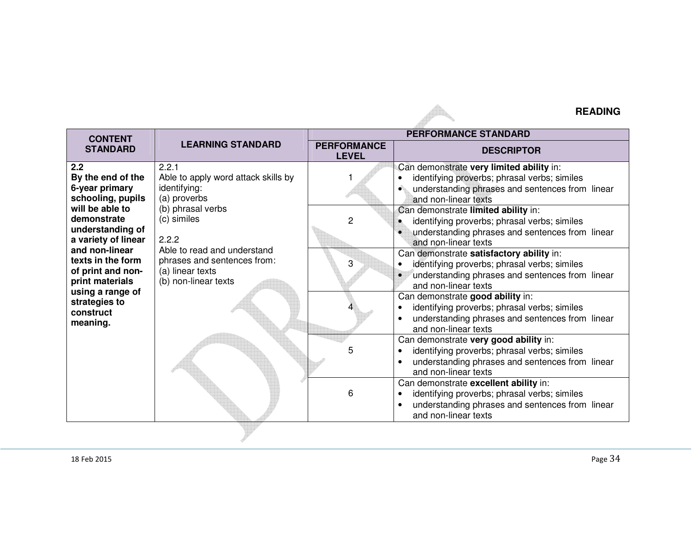## **READING**

| <b>CONTENT</b>                                                                                                                                                                                                                                                   | <b>LEARNING STANDARD</b>                                                                                                                                                                                                            | <b>PERFORMANCE STANDARD</b>        |                                                                                                                                                                                                                                                                                                                                                                                                                                                                                                                                                                                         |  |
|------------------------------------------------------------------------------------------------------------------------------------------------------------------------------------------------------------------------------------------------------------------|-------------------------------------------------------------------------------------------------------------------------------------------------------------------------------------------------------------------------------------|------------------------------------|-----------------------------------------------------------------------------------------------------------------------------------------------------------------------------------------------------------------------------------------------------------------------------------------------------------------------------------------------------------------------------------------------------------------------------------------------------------------------------------------------------------------------------------------------------------------------------------------|--|
| <b>STANDARD</b>                                                                                                                                                                                                                                                  |                                                                                                                                                                                                                                     | <b>PERFORMANCE</b><br><b>LEVEL</b> | <b>DESCRIPTOR</b>                                                                                                                                                                                                                                                                                                                                                                                                                                                                                                                                                                       |  |
| 2.2<br>By the end of the<br>6-year primary<br>schooling, pupils<br>will be able to<br>demonstrate<br>understanding of<br>a variety of linear<br>and non-linear<br>texts in the form<br>of print and non-<br>print materials<br>using a range of<br>strategies to | 2.2.1<br>Able to apply word attack skills by<br>identifying:<br>(a) proverbs<br>(b) phrasal verbs<br>(c) similes<br>2.2.2<br>Able to read and understand<br>phrases and sentences from:<br>(a) linear texts<br>(b) non-linear texts | 2<br>3                             | Can demonstrate very limited ability in:<br>identifying proverbs; phrasal verbs; similes<br>understanding phrases and sentences from linear<br>$\bullet$<br>and non-linear texts<br>Can demonstrate limited ability in:<br>identifying proverbs; phrasal verbs; similes<br>$\bullet$<br>understanding phrases and sentences from linear<br>and non-linear texts<br>Can demonstrate satisfactory ability in:<br>identifying proverbs; phrasal verbs; similes<br>$\bullet$<br>understanding phrases and sentences from linear<br>and non-linear texts<br>Can demonstrate good ability in: |  |
| construct<br>meaning.                                                                                                                                                                                                                                            |                                                                                                                                                                                                                                     |                                    | identifying proverbs; phrasal verbs; similes<br>understanding phrases and sentences from linear<br>$\bullet$<br>and non-linear texts                                                                                                                                                                                                                                                                                                                                                                                                                                                    |  |
|                                                                                                                                                                                                                                                                  |                                                                                                                                                                                                                                     | 5                                  | Can demonstrate very good ability in:<br>identifying proverbs; phrasal verbs; similes<br>$\bullet$<br>understanding phrases and sentences from linear<br>and non-linear texts<br>Can demonstrate excellent ability in:                                                                                                                                                                                                                                                                                                                                                                  |  |
|                                                                                                                                                                                                                                                                  |                                                                                                                                                                                                                                     | 6                                  | identifying proverbs; phrasal verbs; similes<br>$\bullet$<br>understanding phrases and sentences from linear<br>and non-linear texts                                                                                                                                                                                                                                                                                                                                                                                                                                                    |  |

A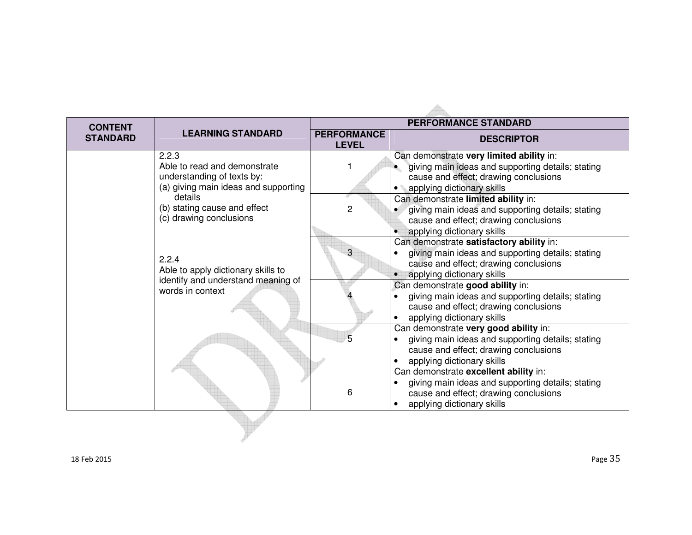| <b>CONTENT</b>  |                                                                                                             | <b>PERFORMANCE STANDARD</b>        |                                                                                                                                                                      |
|-----------------|-------------------------------------------------------------------------------------------------------------|------------------------------------|----------------------------------------------------------------------------------------------------------------------------------------------------------------------|
| <b>STANDARD</b> | <b>LEARNING STANDARD</b>                                                                                    | <b>PERFORMANCE</b><br><b>LEVEL</b> | <b>DESCRIPTOR</b>                                                                                                                                                    |
|                 | 2.2.3<br>Able to read and demonstrate<br>understanding of texts by:<br>(a) giving main ideas and supporting |                                    | Can demonstrate very limited ability in:<br>giving main ideas and supporting details; stating<br>cause and effect; drawing conclusions<br>applying dictionary skills |
|                 | details<br>(b) stating cause and effect<br>(c) drawing conclusions                                          | $\overline{c}$                     | Can demonstrate limited ability in:<br>giving main ideas and supporting details; stating<br>cause and effect; drawing conclusions<br>applying dictionary skills      |
|                 | 2.2.4<br>Able to apply dictionary skills to<br>identify and understand meaning of<br>words in context       |                                    | Can demonstrate satisfactory ability in:<br>giving main ideas and supporting details; stating<br>cause and effect; drawing conclusions<br>applying dictionary skills |
|                 |                                                                                                             |                                    | Can demonstrate good ability in:<br>giving main ideas and supporting details; stating<br>cause and effect; drawing conclusions<br>applying dictionary skills         |
|                 |                                                                                                             |                                    | Can demonstrate very good ability in:<br>giving main ideas and supporting details; stating<br>cause and effect; drawing conclusions<br>applying dictionary skills    |
|                 |                                                                                                             | 6                                  | Can demonstrate excellent ability in:<br>giving main ideas and supporting details; stating<br>cause and effect; drawing conclusions<br>applying dictionary skills    |
|                 |                                                                                                             |                                    |                                                                                                                                                                      |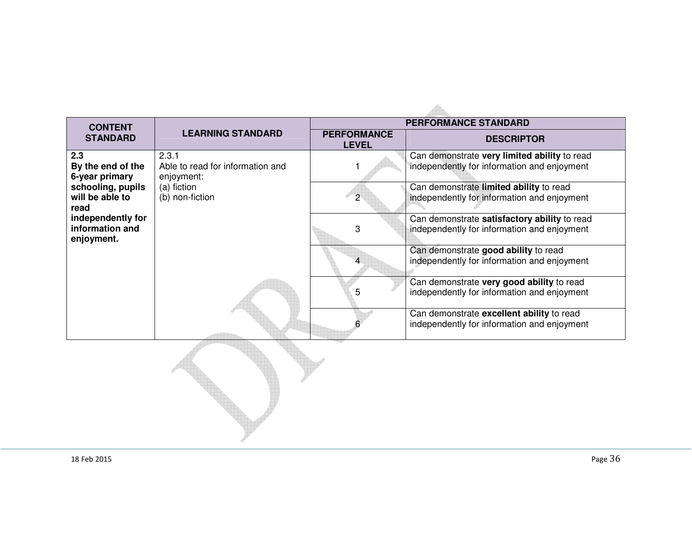| <b>CONTENT</b>                                     |                                                         | <b>PERFORMANCE STANDARD</b>        |                                                                                             |  |
|----------------------------------------------------|---------------------------------------------------------|------------------------------------|---------------------------------------------------------------------------------------------|--|
| <b>STANDARD</b>                                    | <b>LEARNING STANDARD</b>                                | <b>PERFORMANCE</b><br><b>LEVEL</b> | <b>DESCRIPTOR</b>                                                                           |  |
| 2.3<br>By the end of the<br>6-year primary         | 2.3.1<br>Able to read for information and<br>enjoyment: |                                    | Can demonstrate very limited ability to read<br>independently for information and enjoyment |  |
| schooling, pupils<br>will be able to<br>read       | (a) fiction<br>(b) non-fiction                          | $\overline{2}$                     | Can demonstrate limited ability to read<br>independently for information and enjoyment      |  |
| independently for<br>information and<br>enjoyment. |                                                         | 3                                  | Can demonstrate satisfactory ability to read<br>independently for information and enjoyment |  |
|                                                    |                                                         | 4                                  | Can demonstrate good ability to read<br>independently for information and enjoyment         |  |
|                                                    |                                                         | 5                                  | Can demonstrate very good ability to read<br>independently for information and enjoyment    |  |
|                                                    |                                                         |                                    | Can demonstrate excellent ability to read<br>independently for information and enjoyment    |  |
|                                                    |                                                         |                                    |                                                                                             |  |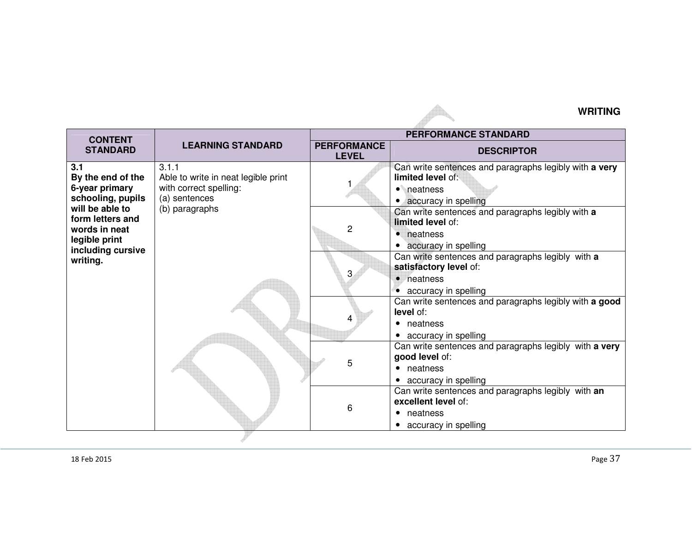## **WRITING**

| <b>CONTENT</b>                                                                                                                                                                                                                                  |                                     |                                    | <b>PERFORMANCE STANDARD</b>                                                                                                                                                                                                                                                                                                                                                                                                                |
|-------------------------------------------------------------------------------------------------------------------------------------------------------------------------------------------------------------------------------------------------|-------------------------------------|------------------------------------|--------------------------------------------------------------------------------------------------------------------------------------------------------------------------------------------------------------------------------------------------------------------------------------------------------------------------------------------------------------------------------------------------------------------------------------------|
| <b>STANDARD</b>                                                                                                                                                                                                                                 | <b>LEARNING STANDARD</b>            | <b>PERFORMANCE</b><br><b>LEVEL</b> | <b>DESCRIPTOR</b>                                                                                                                                                                                                                                                                                                                                                                                                                          |
| 3.1.1<br>3.1<br>By the end of the<br>6-year primary<br>with correct spelling:<br>schooling, pupils<br>(a) sentences<br>will be able to<br>(b) paragraphs<br>form letters and<br>words in neat<br>legible print<br>including cursive<br>writing. | Able to write in neat legible print | $\overline{c}$<br>3                | Can write sentences and paragraphs legibly with a very<br>limited level of:<br>• neatness<br>• accuracy in spelling<br>Can write sentences and paragraphs legibly with a<br>limited level of:<br>• neatness<br>• accuracy in spelling<br>Can write sentences and paragraphs legibly with a<br>satisfactory level of:<br>• neatness<br>• accuracy in spelling<br>Can write sentences and paragraphs legibly with a good<br><b>level</b> of: |
|                                                                                                                                                                                                                                                 |                                     | 4                                  | • neatness<br>• accuracy in spelling                                                                                                                                                                                                                                                                                                                                                                                                       |
|                                                                                                                                                                                                                                                 |                                     | 5                                  | Can write sentences and paragraphs legibly with a very<br>good level of:<br>• neatness<br>• accuracy in spelling                                                                                                                                                                                                                                                                                                                           |
|                                                                                                                                                                                                                                                 |                                     | 6                                  | Can write sentences and paragraphs legibly with an<br>excellent level of:<br>• neatness<br>• accuracy in spelling                                                                                                                                                                                                                                                                                                                          |

A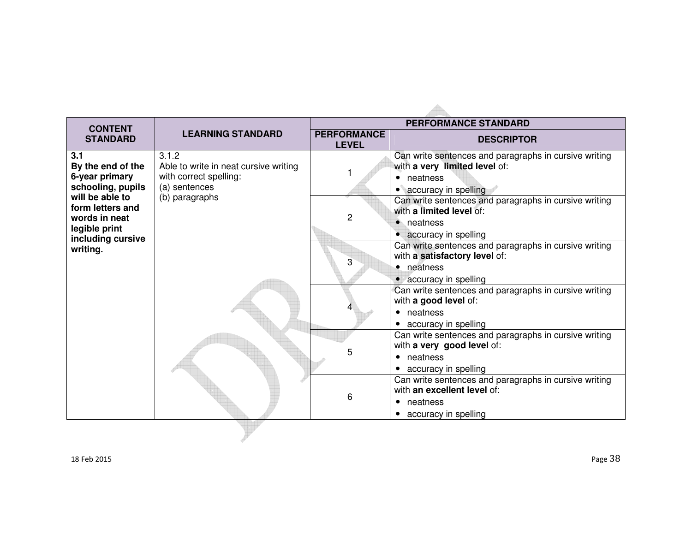| <b>CONTENT</b>                                                                                                                                                            |                                                                                                             | <b>PERFORMANCE STANDARD</b>        |                                                                                                                                                                                                                                                                                                                      |
|---------------------------------------------------------------------------------------------------------------------------------------------------------------------------|-------------------------------------------------------------------------------------------------------------|------------------------------------|----------------------------------------------------------------------------------------------------------------------------------------------------------------------------------------------------------------------------------------------------------------------------------------------------------------------|
| <b>STANDARD</b>                                                                                                                                                           | <b>LEARNING STANDARD</b>                                                                                    | <b>PERFORMANCE</b><br><b>LEVEL</b> | <b>DESCRIPTOR</b>                                                                                                                                                                                                                                                                                                    |
| 3.1<br>By the end of the<br>6-year primary<br>schooling, pupils<br>will be able to<br>form letters and<br>words in neat<br>legible print<br>including cursive<br>writing. | 3.1.2<br>Able to write in neat cursive writing<br>with correct spelling:<br>(a) sentences<br>(b) paragraphs | $\overline{c}$                     | Can write sentences and paragraphs in cursive writing<br>with a very limited level of:<br>• neatness<br>• accuracy in spelling<br>Can write sentences and paragraphs in cursive writing<br>with a limited level of:<br>• neatness<br>• accuracy in spelling<br>Can write sentences and paragraphs in cursive writing |
|                                                                                                                                                                           |                                                                                                             | 3                                  | with a satisfactory level of:<br>• neatness<br>• accuracy in spelling<br>Can write sentences and paragraphs in cursive writing<br>with a good level of:<br>• neatness<br>• accuracy in spelling                                                                                                                      |
|                                                                                                                                                                           |                                                                                                             | 5                                  | Can write sentences and paragraphs in cursive writing<br>with a very good level of:<br>neatness<br>$\bullet$<br>• accuracy in spelling                                                                                                                                                                               |
|                                                                                                                                                                           |                                                                                                             | 6                                  | Can write sentences and paragraphs in cursive writing<br>with an excellent level of:<br>neatness<br>$\bullet$<br>accuracy in spelling                                                                                                                                                                                |
|                                                                                                                                                                           |                                                                                                             |                                    |                                                                                                                                                                                                                                                                                                                      |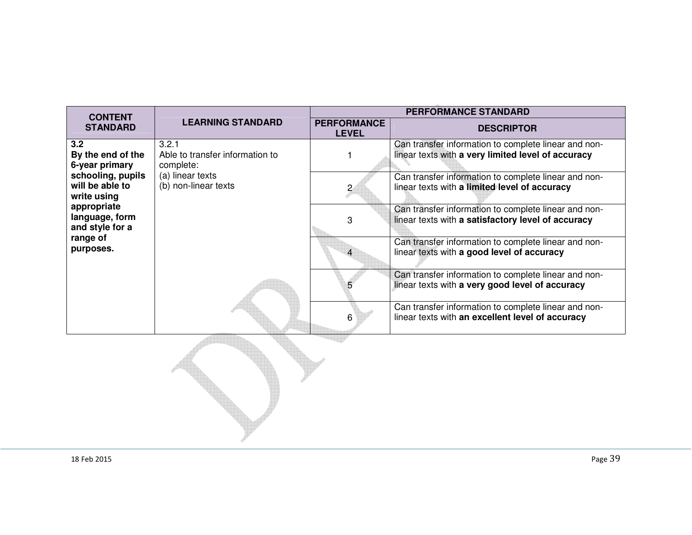| <b>CONTENT</b>                                      | <b>LEARNING STANDARD</b>                              | <b>PERFORMANCE STANDARD</b>        |                                                                                                            |  |
|-----------------------------------------------------|-------------------------------------------------------|------------------------------------|------------------------------------------------------------------------------------------------------------|--|
| <b>STANDARD</b>                                     |                                                       | <b>PERFORMANCE</b><br><b>LEVEL</b> | <b>DESCRIPTOR</b>                                                                                          |  |
| 3.2<br>By the end of the<br>6-year primary          | 3.2.1<br>Able to transfer information to<br>complete: |                                    | Can transfer information to complete linear and non-<br>linear texts with a very limited level of accuracy |  |
| schooling, pupils<br>will be able to<br>write using | (a) linear texts<br>(b) non-linear texts              | $\overline{2}$                     | Can transfer information to complete linear and non-<br>linear texts with a limited level of accuracy      |  |
| appropriate<br>language, form<br>and style for a    |                                                       | 3                                  | Can transfer information to complete linear and non-<br>linear texts with a satisfactory level of accuracy |  |
| range of<br>purposes.                               |                                                       |                                    | Can transfer information to complete linear and non-<br>linear texts with a good level of accuracy         |  |
|                                                     |                                                       | 5                                  | Can transfer information to complete linear and non-<br>linear texts with a very good level of accuracy    |  |
|                                                     |                                                       | 6                                  | Can transfer information to complete linear and non-<br>linear texts with an excellent level of accuracy   |  |
|                                                     |                                                       |                                    |                                                                                                            |  |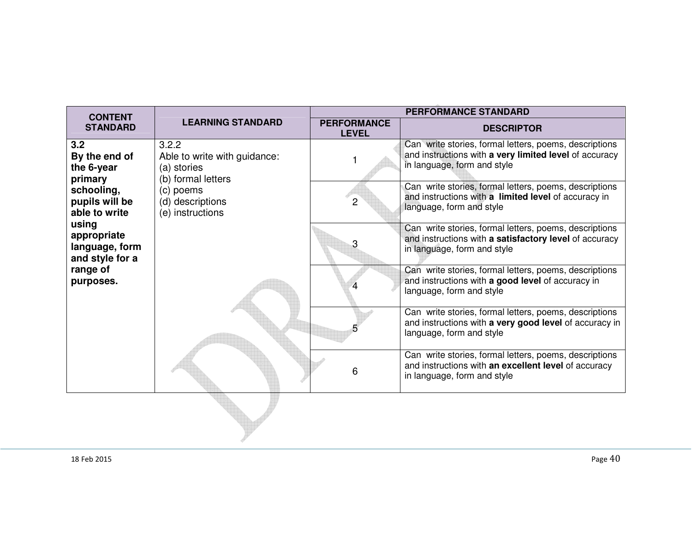| <b>CONTENT</b>                                            | <b>LEARNING STANDARD</b>                                                   | <b>PERFORMANCE STANDARD</b>        |                                                                                                                                                 |
|-----------------------------------------------------------|----------------------------------------------------------------------------|------------------------------------|-------------------------------------------------------------------------------------------------------------------------------------------------|
| <b>STANDARD</b>                                           |                                                                            | <b>PERFORMANCE</b><br><b>LEVEL</b> | <b>DESCRIPTOR</b>                                                                                                                               |
| 3.2<br>By the end of<br>the 6-year<br>primary             | 3.2.2<br>Able to write with guidance:<br>(a) stories<br>(b) formal letters |                                    | Can write stories, formal letters, poems, descriptions<br>and instructions with a very limited level of accuracy<br>in language, form and style |
| schooling,<br>pupils will be<br>able to write             | (c) poems<br>(d) descriptions<br>(e) instructions                          | $\overline{2}$                     | Can write stories, formal letters, poems, descriptions<br>and instructions with a limited level of accuracy in<br>language, form and style      |
| using<br>appropriate<br>language, form<br>and style for a |                                                                            | 3                                  | Can write stories, formal letters, poems, descriptions<br>and instructions with a satisfactory level of accuracy<br>in language, form and style |
| range of<br>purposes.                                     |                                                                            |                                    | Can write stories, formal letters, poems, descriptions<br>and instructions with a good level of accuracy in<br>language, form and style         |
|                                                           |                                                                            |                                    | Can write stories, formal letters, poems, descriptions<br>and instructions with a very good level of accuracy in<br>language, form and style    |
|                                                           |                                                                            | 6                                  | Can write stories, formal letters, poems, descriptions<br>and instructions with an excellent level of accuracy<br>in language, form and style   |
|                                                           |                                                                            |                                    |                                                                                                                                                 |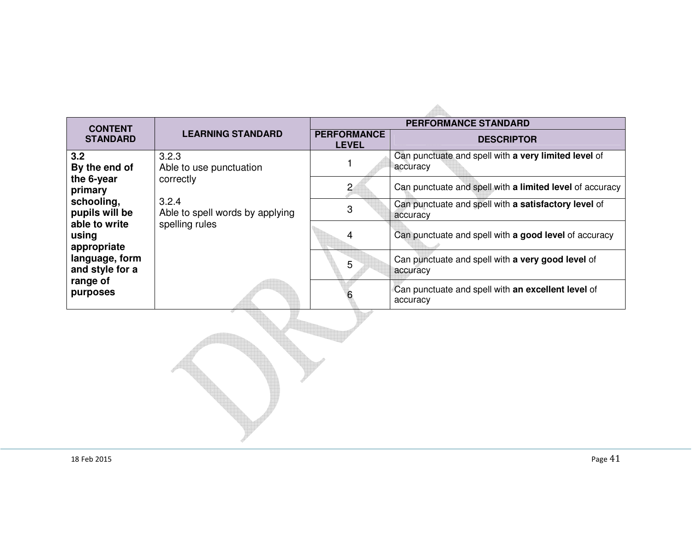| <b>CONTENT</b>                        |                                          | <b>PERFORMANCE STANDARD</b>        |                                                                  |  |
|---------------------------------------|------------------------------------------|------------------------------------|------------------------------------------------------------------|--|
| <b>STANDARD</b>                       | <b>LEARNING STANDARD</b>                 | <b>PERFORMANCE</b><br><b>LEVEL</b> | <b>DESCRIPTOR</b>                                                |  |
| 3.2<br>By the end of                  | 3.2.3<br>Able to use punctuation         |                                    | Can punctuate and spell with a very limited level of<br>accuracy |  |
| the 6-year<br>primary                 | correctly                                | $\overline{c}$                     | Can punctuate and spell with a limited level of accuracy         |  |
| schooling,<br>pupils will be          | 3.2.4<br>Able to spell words by applying | 3                                  | Can punctuate and spell with a satisfactory level of<br>accuracy |  |
| able to write<br>using<br>appropriate | spelling rules                           | 4                                  | Can punctuate and spell with a good level of accuracy            |  |
| language, form<br>and style for a     |                                          | 5                                  | Can punctuate and spell with a very good level of<br>accuracy    |  |
| range of<br>purposes                  |                                          |                                    | Can punctuate and spell with an excellent level of<br>accuracy   |  |
|                                       |                                          |                                    |                                                                  |  |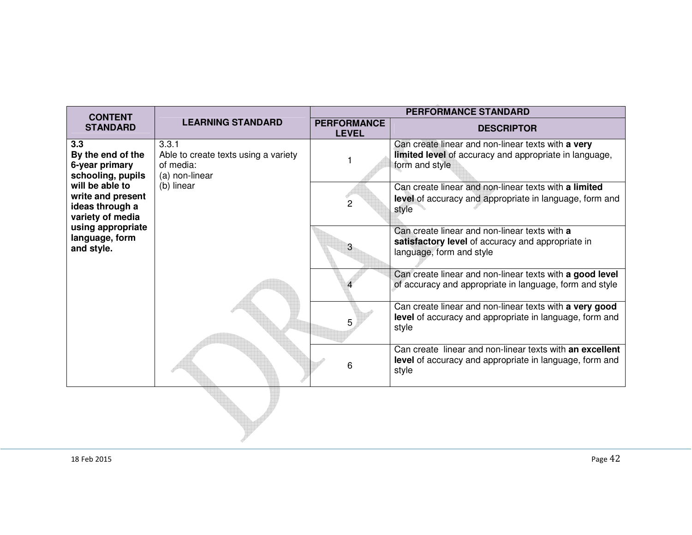| <b>CONTENT</b>                                                                                                                                                                                      |                                                                                            | <b>PERFORMANCE STANDARD</b>        |                                                                                                                                |  |  |
|-----------------------------------------------------------------------------------------------------------------------------------------------------------------------------------------------------|--------------------------------------------------------------------------------------------|------------------------------------|--------------------------------------------------------------------------------------------------------------------------------|--|--|
| <b>STANDARD</b>                                                                                                                                                                                     | <b>LEARNING STANDARD</b>                                                                   | <b>PERFORMANCE</b><br><b>LEVEL</b> | <b>DESCRIPTOR</b>                                                                                                              |  |  |
| 3.3<br>By the end of the<br>6-year primary<br>schooling, pupils<br>will be able to<br>write and present<br>ideas through a<br>variety of media<br>using appropriate<br>language, form<br>and style. | 3.3.1<br>Able to create texts using a variety<br>of media:<br>(a) non-linear<br>(b) linear |                                    | Can create linear and non-linear texts with a very<br>limited level of accuracy and appropriate in language,<br>form and style |  |  |
|                                                                                                                                                                                                     |                                                                                            | $\overline{c}$                     | Can create linear and non-linear texts with a limited<br>level of accuracy and appropriate in language, form and<br>style      |  |  |
|                                                                                                                                                                                                     |                                                                                            | 3                                  | Can create linear and non-linear texts with a<br>satisfactory level of accuracy and appropriate in<br>language, form and style |  |  |
|                                                                                                                                                                                                     |                                                                                            |                                    | Can create linear and non-linear texts with a good level<br>of accuracy and appropriate in language, form and style            |  |  |
|                                                                                                                                                                                                     |                                                                                            | 5                                  | Can create linear and non-linear texts with a very good<br>level of accuracy and appropriate in language, form and<br>style    |  |  |
|                                                                                                                                                                                                     |                                                                                            | 6                                  | Can create linear and non-linear texts with an excellent<br>level of accuracy and appropriate in language, form and<br>style   |  |  |
|                                                                                                                                                                                                     |                                                                                            |                                    |                                                                                                                                |  |  |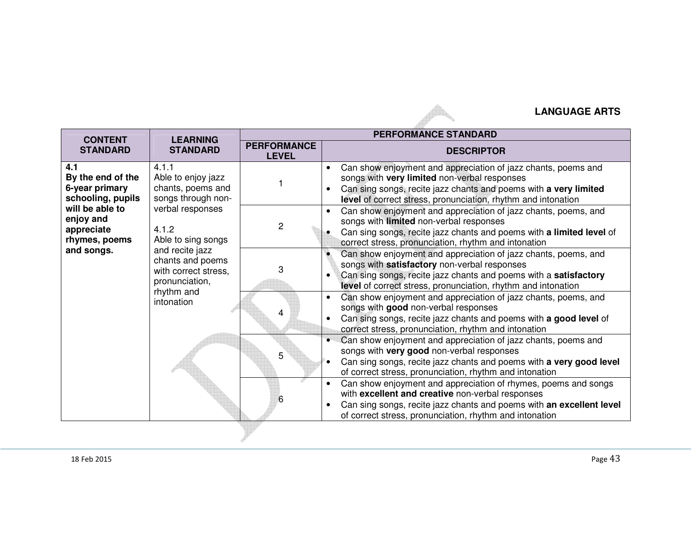## **LANGUAGE ARTS**

| <b>CONTENT</b>                                                                                                                               | <b>LEARNING</b><br><b>STANDARD</b>                                                                                                                                                                                                     | <b>PERFORMANCE STANDARD</b>        |                                                                                                                                                                                                                                                                                                                |  |  |
|----------------------------------------------------------------------------------------------------------------------------------------------|----------------------------------------------------------------------------------------------------------------------------------------------------------------------------------------------------------------------------------------|------------------------------------|----------------------------------------------------------------------------------------------------------------------------------------------------------------------------------------------------------------------------------------------------------------------------------------------------------------|--|--|
| <b>STANDARD</b>                                                                                                                              |                                                                                                                                                                                                                                        | <b>PERFORMANCE</b><br><b>LEVEL</b> | <b>DESCRIPTOR</b>                                                                                                                                                                                                                                                                                              |  |  |
| 4.1<br>By the end of the<br>6-year primary<br>schooling, pupils<br>will be able to<br>enjoy and<br>appreciate<br>rhymes, poems<br>and songs. | 4.1.1<br>Able to enjoy jazz<br>chants, poems and<br>songs through non-<br>verbal responses<br>4.1.2<br>Able to sing songs<br>and recite jazz<br>chants and poems<br>with correct stress,<br>pronunciation,<br>rhythm and<br>intonation |                                    | Can show enjoyment and appreciation of jazz chants, poems and<br>songs with very limited non-verbal responses<br>Can sing songs, recite jazz chants and poems with a very limited<br>level of correct stress, pronunciation, rhythm and intonation                                                             |  |  |
|                                                                                                                                              |                                                                                                                                                                                                                                        | $\overline{2}$                     | Can show enjoyment and appreciation of jazz chants, poems, and<br>songs with limited non-verbal responses<br>Can sing songs, recite jazz chants and poems with a limited level of<br>correct stress, pronunciation, rhythm and intonation                                                                      |  |  |
|                                                                                                                                              |                                                                                                                                                                                                                                        | 3                                  | Can show enjoyment and appreciation of jazz chants, poems, and<br>songs with satisfactory non-verbal responses<br>Can sing songs, recite jazz chants and poems with a satisfactory<br>level of correct stress, pronunciation, rhythm and intonation                                                            |  |  |
|                                                                                                                                              |                                                                                                                                                                                                                                        | 4                                  | Can show enjoyment and appreciation of jazz chants, poems, and<br>songs with good non-verbal responses<br>Can sing songs, recite jazz chants and poems with a good level of<br>correct stress, pronunciation, rhythm and intonation                                                                            |  |  |
|                                                                                                                                              |                                                                                                                                                                                                                                        | 5                                  | Can show enjoyment and appreciation of jazz chants, poems and<br>songs with very good non-verbal responses<br>Can sing songs, recite jazz chants and poems with a very good level<br>of correct stress, pronunciation, rhythm and intonation<br>Can show enjoyment and appreciation of rhymes, poems and songs |  |  |
|                                                                                                                                              |                                                                                                                                                                                                                                        | 6                                  | with excellent and creative non-verbal responses<br>Can sing songs, recite jazz chants and poems with an excellent level<br>of correct stress, pronunciation, rhythm and intonation                                                                                                                            |  |  |

 $\blacktriangle$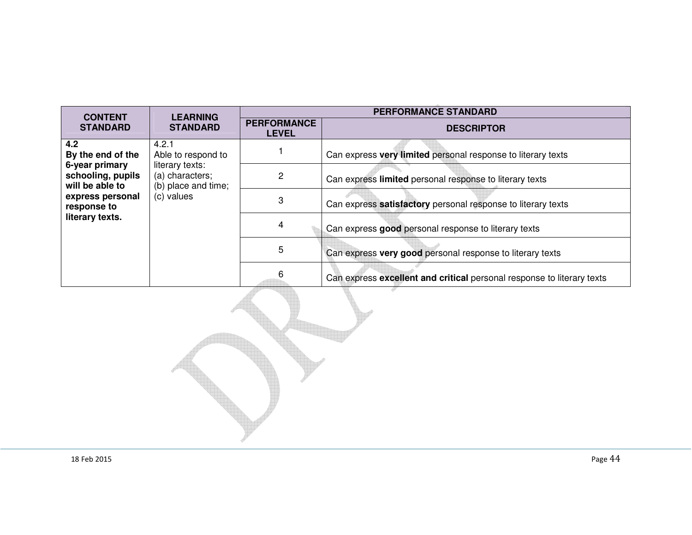| <b>CONTENT</b>                                                                                                                           | <b>LEARNING</b><br><b>STANDARD</b>                                                                     | <b>PERFORMANCE STANDARD</b>        |                                                                        |  |
|------------------------------------------------------------------------------------------------------------------------------------------|--------------------------------------------------------------------------------------------------------|------------------------------------|------------------------------------------------------------------------|--|
| <b>STANDARD</b>                                                                                                                          |                                                                                                        | <b>PERFORMANCE</b><br><b>LEVEL</b> | <b>DESCRIPTOR</b>                                                      |  |
| 4.2<br>By the end of the<br>6-year primary<br>schooling, pupils<br>will be able to<br>express personal<br>response to<br>literary texts. | 4.2.1<br>Able to respond to<br>literary texts:<br>(a) characters;<br>(b) place and time;<br>(c) values |                                    | Can express very limited personal response to literary texts           |  |
|                                                                                                                                          |                                                                                                        | 2                                  | Can express limited personal response to literary texts                |  |
|                                                                                                                                          |                                                                                                        | 3                                  | Can express satisfactory personal response to literary texts           |  |
|                                                                                                                                          |                                                                                                        | 4                                  | Can express good personal response to literary texts                   |  |
|                                                                                                                                          |                                                                                                        | 5                                  | Can express very good personal response to literary texts              |  |
|                                                                                                                                          |                                                                                                        | 6                                  | Can express excellent and critical personal response to literary texts |  |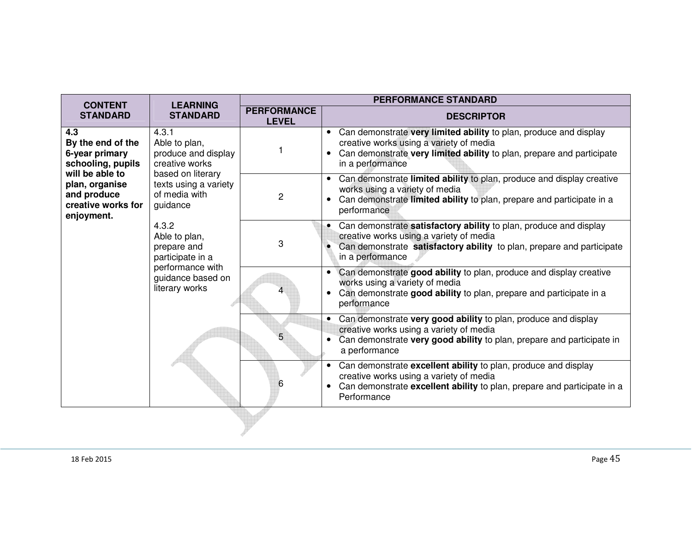| <b>CONTENT</b>                                                                                                                                          | <b>LEARNING</b><br><b>STANDARD</b>                                                                                                                                                                                                                                 | <b>PERFORMANCE STANDARD</b>        |                                                                                                                                                                                                                        |  |  |
|---------------------------------------------------------------------------------------------------------------------------------------------------------|--------------------------------------------------------------------------------------------------------------------------------------------------------------------------------------------------------------------------------------------------------------------|------------------------------------|------------------------------------------------------------------------------------------------------------------------------------------------------------------------------------------------------------------------|--|--|
| <b>STANDARD</b>                                                                                                                                         |                                                                                                                                                                                                                                                                    | <b>PERFORMANCE</b><br><b>LEVEL</b> | <b>DESCRIPTOR</b>                                                                                                                                                                                                      |  |  |
| 4.3<br>By the end of the<br>6-year primary<br>schooling, pupils<br>will be able to<br>plan, organise<br>and produce<br>creative works for<br>enjoyment. | 4.3.1<br>Able to plan,<br>produce and display<br>creative works<br>based on literary<br>texts using a variety<br>of media with<br>guidance<br>4.3.2<br>Able to plan,<br>prepare and<br>participate in a<br>performance with<br>guidance based on<br>literary works |                                    | Can demonstrate very limited ability to plan, produce and display<br>$\bullet$<br>creative works using a variety of media<br>Can demonstrate very limited ability to plan, prepare and participate<br>in a performance |  |  |
|                                                                                                                                                         |                                                                                                                                                                                                                                                                    | 2                                  | Can demonstrate limited ability to plan, produce and display creative<br>$\bullet$<br>works using a variety of media<br>Can demonstrate limited ability to plan, prepare and participate in a<br>performance           |  |  |
|                                                                                                                                                         |                                                                                                                                                                                                                                                                    | 3                                  | Can demonstrate satisfactory ability to plan, produce and display<br>creative works using a variety of media<br>Can demonstrate satisfactory ability to plan, prepare and participate<br>in a performance              |  |  |
|                                                                                                                                                         |                                                                                                                                                                                                                                                                    | 4                                  | Can demonstrate good ability to plan, produce and display creative<br>works using a variety of media<br>Can demonstrate good ability to plan, prepare and participate in a<br>performance                              |  |  |
|                                                                                                                                                         |                                                                                                                                                                                                                                                                    |                                    | • Can demonstrate very good ability to plan, produce and display<br>creative works using a variety of media<br>Can demonstrate very good ability to plan, prepare and participate in<br>a performance                  |  |  |
|                                                                                                                                                         |                                                                                                                                                                                                                                                                    | 6                                  | Can demonstrate excellent ability to plan, produce and display<br>$\bullet$<br>creative works using a variety of media<br>Can demonstrate excellent ability to plan, prepare and participate in a<br>Performance       |  |  |
|                                                                                                                                                         |                                                                                                                                                                                                                                                                    |                                    |                                                                                                                                                                                                                        |  |  |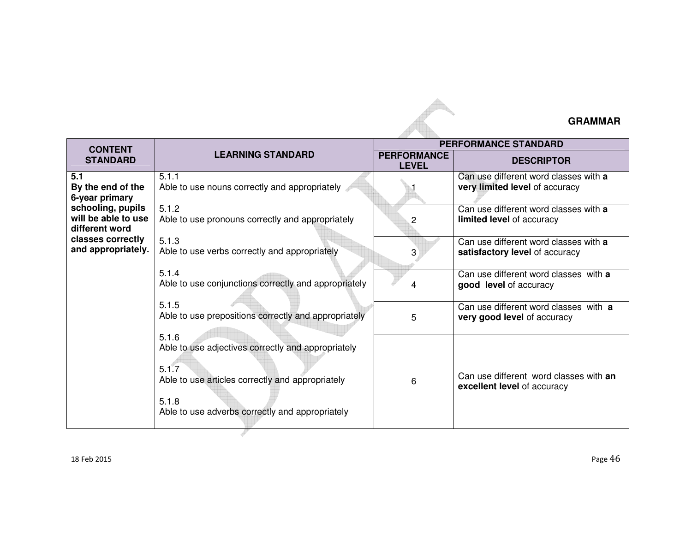## **GRAMMAR**

| <b>CONTENT</b>                                                                                        |                                                                                                                                                                                      | <b>PERFORMANCE STANDARD</b>        |                                                                         |  |
|-------------------------------------------------------------------------------------------------------|--------------------------------------------------------------------------------------------------------------------------------------------------------------------------------------|------------------------------------|-------------------------------------------------------------------------|--|
| <b>STANDARD</b>                                                                                       | <b>LEARNING STANDARD</b>                                                                                                                                                             | <b>PERFORMANCE</b><br><b>LEVEL</b> | <b>DESCRIPTOR</b>                                                       |  |
| 5.1<br>By the end of the<br>6-year primary                                                            | 5.1.1<br>Able to use nouns correctly and appropriately                                                                                                                               |                                    | Can use different word classes with a<br>very limited level of accuracy |  |
| schooling, pupils<br>will be able to use<br>different word<br>classes correctly<br>and appropriately. | 5.1.2<br>Able to use pronouns correctly and appropriately                                                                                                                            | 2                                  | Can use different word classes with a<br>limited level of accuracy      |  |
|                                                                                                       | 5.1.3<br>Able to use verbs correctly and appropriately                                                                                                                               | 3                                  | Can use different word classes with a<br>satisfactory level of accuracy |  |
|                                                                                                       | 5.1.4<br>Able to use conjunctions correctly and appropriately                                                                                                                        | 4                                  | Can use different word classes with a<br>good level of accuracy         |  |
|                                                                                                       | 5.1.5<br>Able to use prepositions correctly and appropriately                                                                                                                        | 5                                  | Can use different word classes with a<br>very good level of accuracy    |  |
|                                                                                                       | 5.1.6<br>Able to use adjectives correctly and appropriately<br>5.1.7<br>Able to use articles correctly and appropriately<br>5.1.8<br>Able to use adverbs correctly and appropriately | 6                                  | Can use different word classes with an<br>excellent level of accuracy   |  |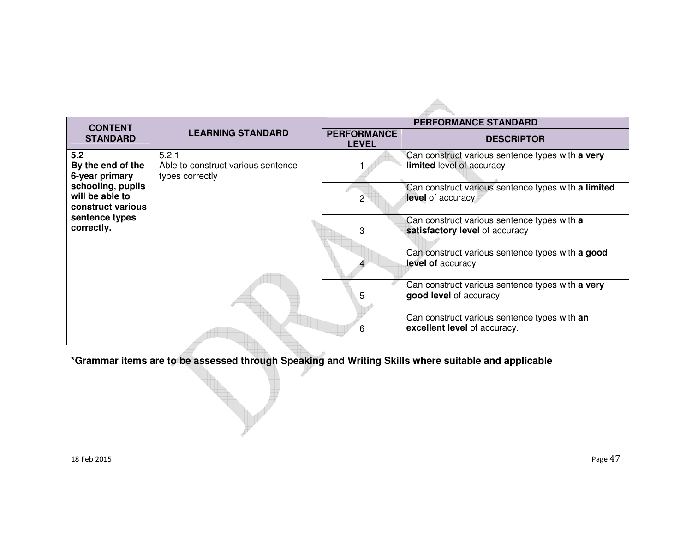|                                                           |                                                                | <b>PERFORMANCE STANDARD</b>        |                                                                               |  |  |
|-----------------------------------------------------------|----------------------------------------------------------------|------------------------------------|-------------------------------------------------------------------------------|--|--|
| <b>CONTENT</b><br><b>STANDARD</b>                         | <b>LEARNING STANDARD</b>                                       | <b>PERFORMANCE</b><br><b>LEVEL</b> | <b>DESCRIPTOR</b>                                                             |  |  |
| 5.2<br>By the end of the<br>6-year primary                | 5.2.1<br>Able to construct various sentence<br>types correctly |                                    | Can construct various sentence types with a very<br>limited level of accuracy |  |  |
| schooling, pupils<br>will be able to<br>construct various |                                                                | $\mathcal{P}$                      | Can construct various sentence types with a limited<br>level of accuracy      |  |  |
| sentence types<br>correctly.                              |                                                                | 3                                  | Can construct various sentence types with a<br>satisfactory level of accuracy |  |  |
|                                                           |                                                                |                                    | Can construct various sentence types with a good<br>level of accuracy         |  |  |
|                                                           |                                                                | 5                                  | Can construct various sentence types with a very<br>good level of accuracy    |  |  |
|                                                           |                                                                | 6                                  | Can construct various sentence types with an<br>excellent level of accuracy.  |  |  |

**\*Grammar items are to be assessed through Speaking and Writing Skills where suitable and applicable**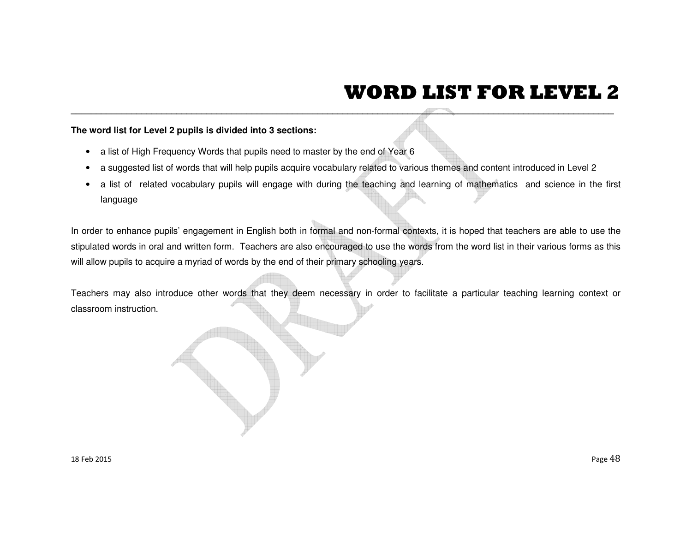## **WORD LIST FOR LEVEL 2**

- 
- 
- 

The word list for Level 2 pupils is divided into 3 sections:<br>
• a list of High Frequency Words that pupils need to master by the end of Year 6<br>
• a suggested list of words that will holp pupils acquire vocabulary related t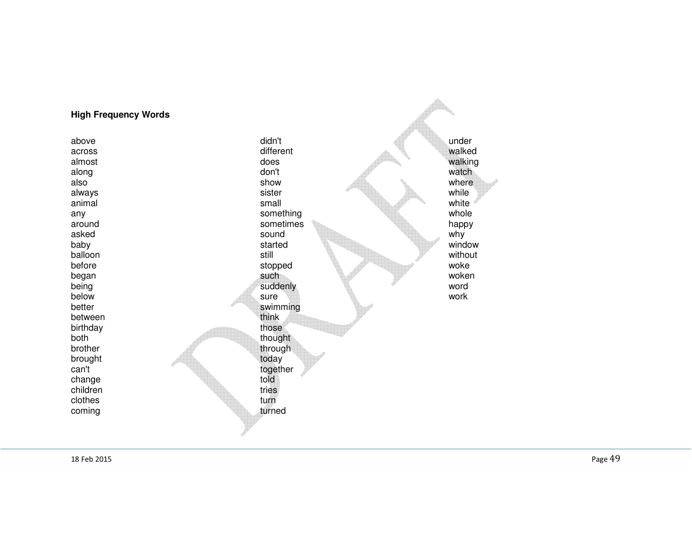## **High Frequency Words**

any something whole state and the something being<br>below better swimming<br>between think between birthday both thought throught the set of the set of the set of the set of the set of the set of the set of the set of the set of the set of the set of the set of the set of the set of the set of the set of the set of the set of th brother through through brought today<br>can't total today<br>togethermal can't together together change told told to the control of the control of the control of the control of the control of the control of the control of the control of the control of the control of the control of the control of the control of the con children clothes coming

above didn't under across different walked almost does walking along watch and a series of the control of the control of the control of the control of the control of the con also show where always while the sister while the sister while the size of the size of the size of the size of the size of the animal small white around sometimes happ<br>asked happy sound the sound the sound why asked why sound sound why why baby started window started window balloon still without before woke stopped work workers and the stopped workers of the stopped workers of the stopped workers of the stopped workers of the stopped workers of the stopped workers of the stopped workers of the stopped workers of t began woken such such woken woken suddenly word below sure work those tries turn

turned

walked walking where white whole happy window woken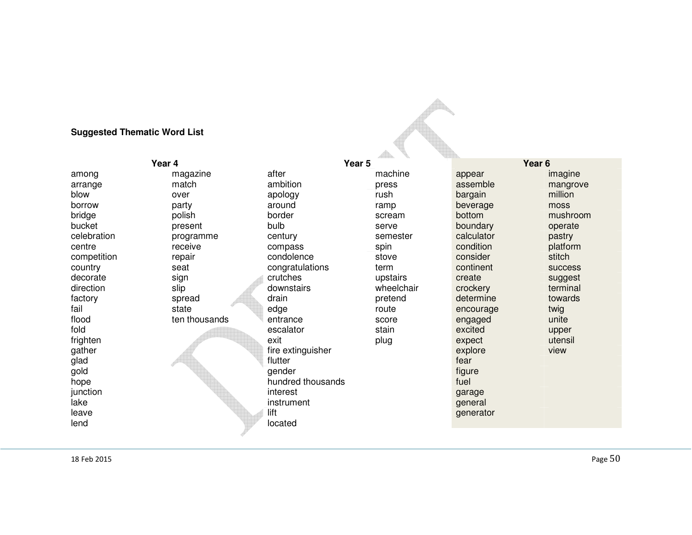## **Suggested Thematic Word List**

| Year 4      |               | <u>and</u><br>Year 5 |            | Year <sub>6</sub> |                |
|-------------|---------------|----------------------|------------|-------------------|----------------|
|             |               | after                |            |                   |                |
| among       | magazine      |                      | machine    | appear            | imagine        |
| arrange     | match         | ambition             | press      | assemble          | mangrove       |
| blow        | over          | apology              | rush       | bargain           | million        |
| borrow      | party         | around               | ramp       | beverage          | moss           |
| bridge      | polish        | border               | scream     | bottom            | mushroom       |
| bucket      | present       | bulb                 | serve      | boundary          | operate        |
| celebration | programme     | century              | semester   | calculator        | pastry         |
| centre      | receive       | compass              | spin       | condition         | platform       |
| competition | repair        | condolence           | stove      | consider          | stitch         |
| country     | seat          | congratulations      | term       | continent         | <b>SUCCESS</b> |
| decorate    | sign          | crutches             | upstairs   | create            | suggest        |
| direction   | slip          | downstairs           | wheelchair | crockery          | terminal       |
| factory     | spread        | drain                | pretend    | determine         | towards        |
| fail        | state         | edge                 | route      | encourage         | twig           |
| flood       | ten thousands | entrance             | score      | engaged           | unite          |
| fold        |               | escalator            | stain      | excited           | upper          |
| frighten    |               | exit                 | plug       | expect            | utensil        |
| gather      |               | fire extinguisher    |            | explore           | view           |
| glad        |               | flutter              |            | fear              |                |
| gold        |               | gender               |            | figure            |                |
| hope        |               | hundred thousands    |            | fuel              |                |
| junction    |               | interest             |            | garage            |                |
| lake        |               | instrument           |            | general           |                |
| leave       |               | lift                 |            | generator         |                |
| lend        |               | located              |            |                   |                |
|             |               |                      |            |                   |                |